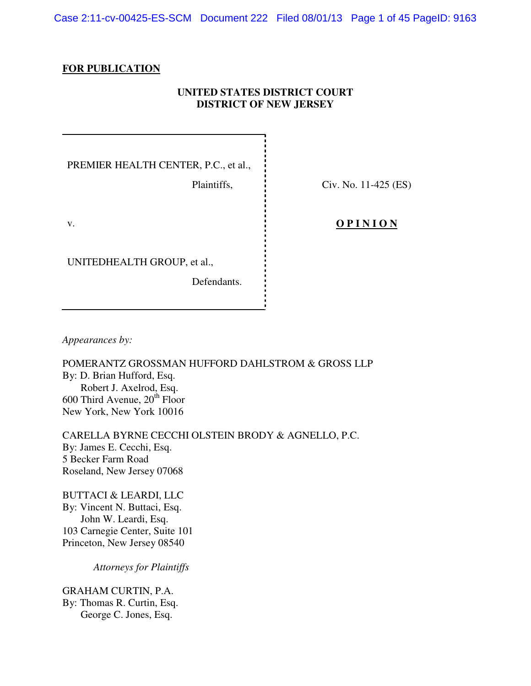Case 2:11-cv-00425-ES-SCM Document 222 Filed 08/01/13 Page 1 of 45 PageID: 9163

# **FOR PUBLICATION**

# **UNITED STATES DISTRICT COURT DISTRICT OF NEW JERSEY**

PREMIER HEALTH CENTER, P.C., et al.,

Plaintiffs,  $\qquad \qquad$  Civ. No. 11-425 (ES)

UNITEDHEALTH GROUP, et al.,

Defendants.

v. **O P I N I O N** 

*Appearances by:* 

POMERANTZ GROSSMAN HUFFORD DAHLSTROM & GROSS LLP By: D. Brian Hufford, Esq. Robert J. Axelrod, Esq.  $600$  Third Avenue,  $20^{\text{th}}$  Floor New York, New York 10016

CARELLA BYRNE CECCHI OLSTEIN BRODY & AGNELLO, P.C. By: James E. Cecchi, Esq. 5 Becker Farm Road Roseland, New Jersey 07068

BUTTACI & LEARDI, LLC By: Vincent N. Buttaci, Esq. John W. Leardi, Esq. 103 Carnegie Center, Suite 101 Princeton, New Jersey 08540

*Attorneys for Plaintiffs* 

GRAHAM CURTIN, P.A. By: Thomas R. Curtin, Esq. George C. Jones, Esq.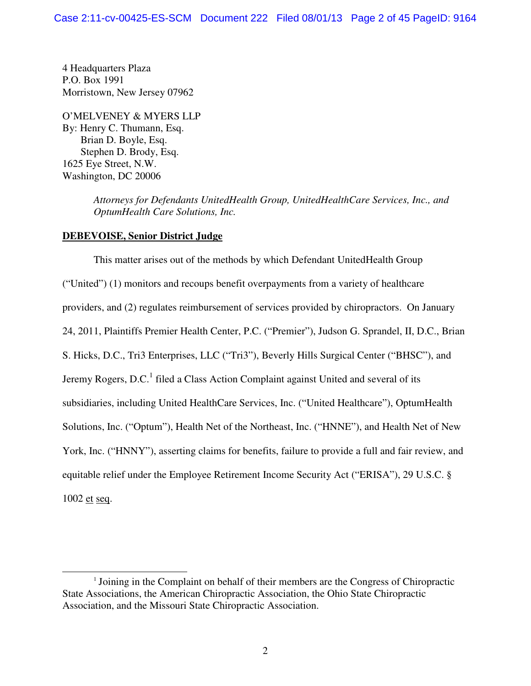4 Headquarters Plaza P.O. Box 1991 Morristown, New Jersey 07962

O'MELVENEY & MYERS LLP By: Henry C. Thumann, Esq. Brian D. Boyle, Esq. Stephen D. Brody, Esq. 1625 Eye Street, N.W. Washington, DC 20006

> *Attorneys for Defendants UnitedHealth Group, UnitedHealthCare Services, Inc., and OptumHealth Care Solutions, Inc.*

# **DEBEVOISE, Senior District Judge**

-

This matter arises out of the methods by which Defendant UnitedHealth Group ("United") (1) monitors and recoups benefit overpayments from a variety of healthcare providers, and (2) regulates reimbursement of services provided by chiropractors. On January 24, 2011, Plaintiffs Premier Health Center, P.C. ("Premier"), Judson G. Sprandel, II, D.C., Brian S. Hicks, D.C., Tri3 Enterprises, LLC ("Tri3"), Beverly Hills Surgical Center ("BHSC"), and Jeremy Rogers,  $D.C.<sup>1</sup>$  filed a Class Action Complaint against United and several of its subsidiaries, including United HealthCare Services, Inc. ("United Healthcare"), OptumHealth Solutions, Inc. ("Optum"), Health Net of the Northeast, Inc. ("HNNE"), and Health Net of New York, Inc. ("HNNY"), asserting claims for benefits, failure to provide a full and fair review, and equitable relief under the Employee Retirement Income Security Act ("ERISA"), 29 U.S.C. § 1002 et seq.

<sup>&</sup>lt;sup>1</sup> Joining in the Complaint on behalf of their members are the Congress of Chiropractic State Associations, the American Chiropractic Association, the Ohio State Chiropractic Association, and the Missouri State Chiropractic Association.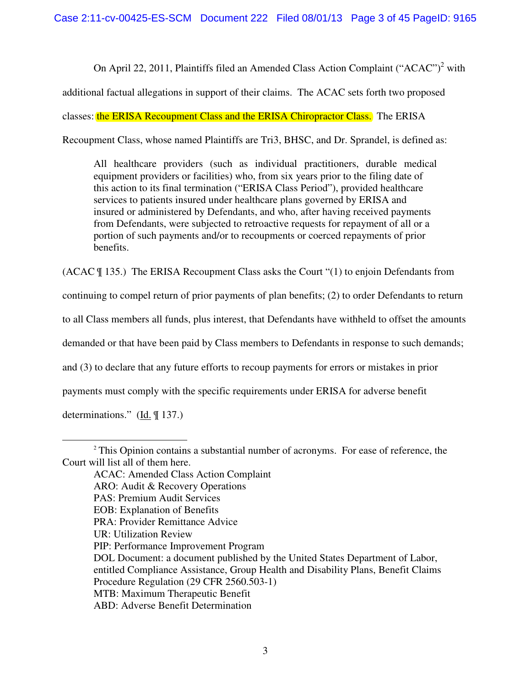On April 22, 2011, Plaintiffs filed an Amended Class Action Complaint ("ACAC")<sup>2</sup> with

additional factual allegations in support of their claims. The ACAC sets forth two proposed

classes: the ERISA Recoupment Class and the ERISA Chiropractor Class. The ERISA

Recoupment Class, whose named Plaintiffs are Tri3, BHSC, and Dr. Sprandel, is defined as:

All healthcare providers (such as individual practitioners, durable medical equipment providers or facilities) who, from six years prior to the filing date of this action to its final termination ("ERISA Class Period"), provided healthcare services to patients insured under healthcare plans governed by ERISA and insured or administered by Defendants, and who, after having received payments from Defendants, were subjected to retroactive requests for repayment of all or a portion of such payments and/or to recoupments or coerced repayments of prior benefits.

(ACAC ¶ 135.) The ERISA Recoupment Class asks the Court "(1) to enjoin Defendants from

continuing to compel return of prior payments of plan benefits; (2) to order Defendants to return

to all Class members all funds, plus interest, that Defendants have withheld to offset the amounts

demanded or that have been paid by Class members to Defendants in response to such demands;

and (3) to declare that any future efforts to recoup payments for errors or mistakes in prior

payments must comply with the specific requirements under ERISA for adverse benefit

determinations." (Id. ¶ 137.)

-

<sup>&</sup>lt;sup>2</sup> This Opinion contains a substantial number of acronyms. For ease of reference, the Court will list all of them here.

ACAC: Amended Class Action Complaint ARO: Audit & Recovery Operations PAS: Premium Audit Services EOB: Explanation of Benefits PRA: Provider Remittance Advice UR: Utilization Review PIP: Performance Improvement Program DOL Document: a document published by the United States Department of Labor, entitled Compliance Assistance, Group Health and Disability Plans, Benefit Claims Procedure Regulation (29 CFR 2560.503-1) MTB: Maximum Therapeutic Benefit ABD: Adverse Benefit Determination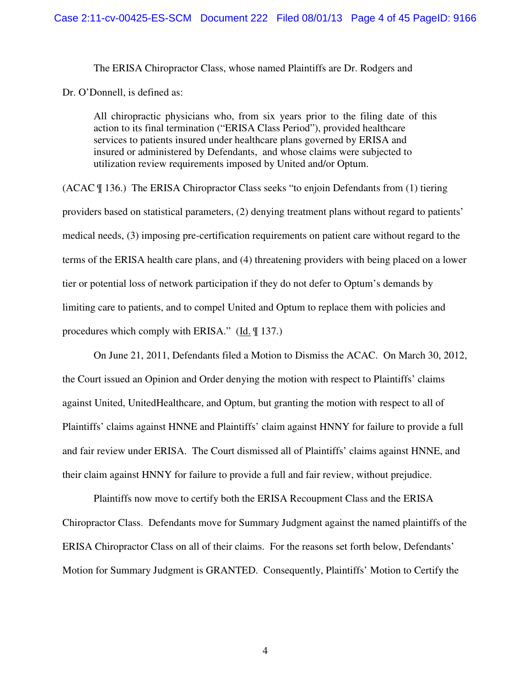The ERISA Chiropractor Class, whose named Plaintiffs are Dr. Rodgers and

Dr. O'Donnell, is defined as:

All chiropractic physicians who, from six years prior to the filing date of this action to its final termination ("ERISA Class Period"), provided healthcare services to patients insured under healthcare plans governed by ERISA and insured or administered by Defendants, and whose claims were subjected to utilization review requirements imposed by United and/or Optum.

(ACAC ¶ 136.) The ERISA Chiropractor Class seeks "to enjoin Defendants from (1) tiering providers based on statistical parameters, (2) denying treatment plans without regard to patients' medical needs, (3) imposing pre-certification requirements on patient care without regard to the terms of the ERISA health care plans, and (4) threatening providers with being placed on a lower tier or potential loss of network participation if they do not defer to Optum's demands by limiting care to patients, and to compel United and Optum to replace them with policies and procedures which comply with ERISA." (Id. ¶ 137.)

On June 21, 2011, Defendants filed a Motion to Dismiss the ACAC. On March 30, 2012, the Court issued an Opinion and Order denying the motion with respect to Plaintiffs' claims against United, UnitedHealthcare, and Optum, but granting the motion with respect to all of Plaintiffs' claims against HNNE and Plaintiffs' claim against HNNY for failure to provide a full and fair review under ERISA. The Court dismissed all of Plaintiffs' claims against HNNE, and their claim against HNNY for failure to provide a full and fair review, without prejudice.

Plaintiffs now move to certify both the ERISA Recoupment Class and the ERISA Chiropractor Class. Defendants move for Summary Judgment against the named plaintiffs of the ERISA Chiropractor Class on all of their claims. For the reasons set forth below, Defendants' Motion for Summary Judgment is GRANTED. Consequently, Plaintiffs' Motion to Certify the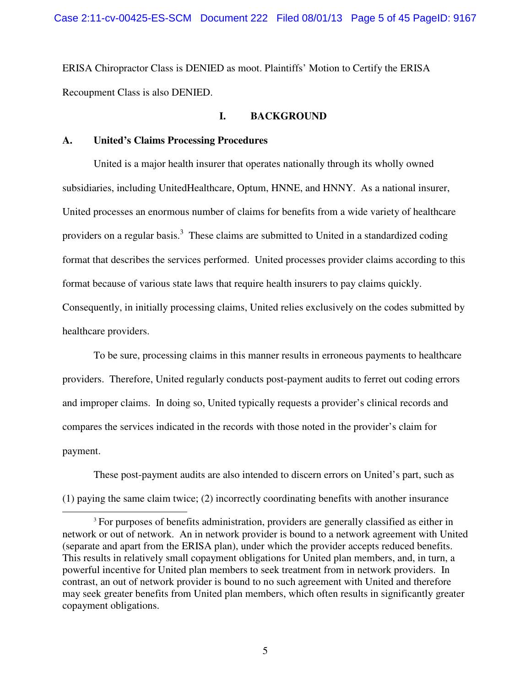ERISA Chiropractor Class is DENIED as moot. Plaintiffs' Motion to Certify the ERISA Recoupment Class is also DENIED.

# **I. BACKGROUND**

# **A. United's Claims Processing Procedures**

-

United is a major health insurer that operates nationally through its wholly owned subsidiaries, including UnitedHealthcare, Optum, HNNE, and HNNY. As a national insurer, United processes an enormous number of claims for benefits from a wide variety of healthcare providers on a regular basis.<sup>3</sup> These claims are submitted to United in a standardized coding format that describes the services performed. United processes provider claims according to this format because of various state laws that require health insurers to pay claims quickly. Consequently, in initially processing claims, United relies exclusively on the codes submitted by healthcare providers.

To be sure, processing claims in this manner results in erroneous payments to healthcare providers. Therefore, United regularly conducts post-payment audits to ferret out coding errors and improper claims. In doing so, United typically requests a provider's clinical records and compares the services indicated in the records with those noted in the provider's claim for payment.

These post-payment audits are also intended to discern errors on United's part, such as (1) paying the same claim twice; (2) incorrectly coordinating benefits with another insurance

<sup>&</sup>lt;sup>3</sup> For purposes of benefits administration, providers are generally classified as either in network or out of network. An in network provider is bound to a network agreement with United (separate and apart from the ERISA plan), under which the provider accepts reduced benefits. This results in relatively small copayment obligations for United plan members, and, in turn, a powerful incentive for United plan members to seek treatment from in network providers. In contrast, an out of network provider is bound to no such agreement with United and therefore may seek greater benefits from United plan members, which often results in significantly greater copayment obligations.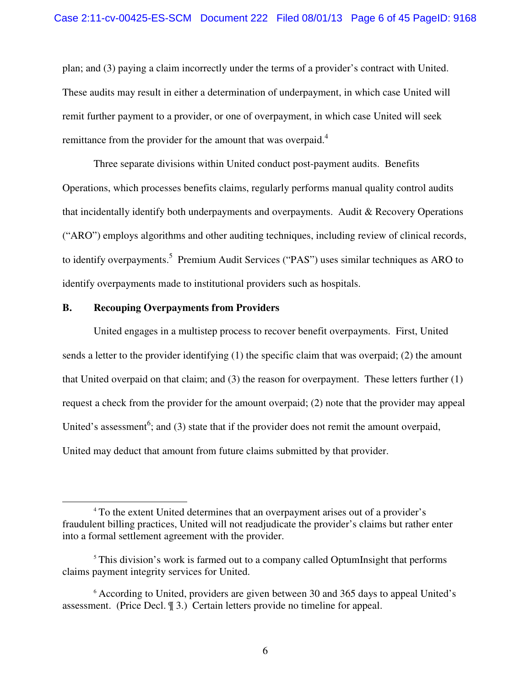plan; and (3) paying a claim incorrectly under the terms of a provider's contract with United. These audits may result in either a determination of underpayment, in which case United will remit further payment to a provider, or one of overpayment, in which case United will seek remittance from the provider for the amount that was overpaid.<sup>4</sup>

Three separate divisions within United conduct post-payment audits. Benefits Operations, which processes benefits claims, regularly performs manual quality control audits that incidentally identify both underpayments and overpayments. Audit & Recovery Operations ("ARO") employs algorithms and other auditing techniques, including review of clinical records, to identify overpayments.<sup>5</sup> Premium Audit Services ("PAS") uses similar techniques as ARO to identify overpayments made to institutional providers such as hospitals.

### **B. Recouping Overpayments from Providers**

-

United engages in a multistep process to recover benefit overpayments. First, United sends a letter to the provider identifying (1) the specific claim that was overpaid; (2) the amount that United overpaid on that claim; and (3) the reason for overpayment. These letters further (1) request a check from the provider for the amount overpaid; (2) note that the provider may appeal United's assessment<sup>6</sup>; and (3) state that if the provider does not remit the amount overpaid, United may deduct that amount from future claims submitted by that provider.

<sup>&</sup>lt;sup>4</sup> To the extent United determines that an overpayment arises out of a provider's fraudulent billing practices, United will not readjudicate the provider's claims but rather enter into a formal settlement agreement with the provider.

<sup>&</sup>lt;sup>5</sup> This division's work is farmed out to a company called OptumInsight that performs claims payment integrity services for United.

<sup>6</sup> According to United, providers are given between 30 and 365 days to appeal United's assessment. (Price Decl. ¶ 3.) Certain letters provide no timeline for appeal.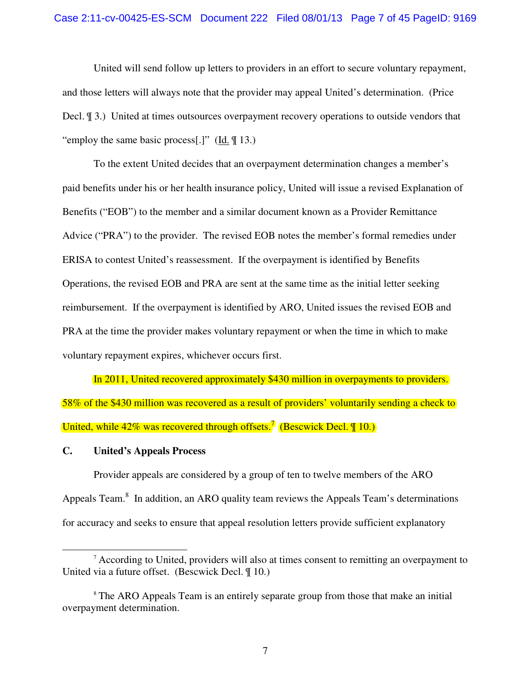### Case 2:11-cv-00425-ES-SCM Document 222 Filed 08/01/13 Page 7 of 45 PageID: 9169

 United will send follow up letters to providers in an effort to secure voluntary repayment, and those letters will always note that the provider may appeal United's determination. (Price Decl. ¶ 3.) United at times outsources overpayment recovery operations to outside vendors that "employ the same basic process[.]" (Id. ¶ 13.)

 To the extent United decides that an overpayment determination changes a member's paid benefits under his or her health insurance policy, United will issue a revised Explanation of Benefits ("EOB") to the member and a similar document known as a Provider Remittance Advice ("PRA") to the provider. The revised EOB notes the member's formal remedies under ERISA to contest United's reassessment. If the overpayment is identified by Benefits Operations, the revised EOB and PRA are sent at the same time as the initial letter seeking reimbursement. If the overpayment is identified by ARO, United issues the revised EOB and PRA at the time the provider makes voluntary repayment or when the time in which to make voluntary repayment expires, whichever occurs first.

 In 2011, United recovered approximately \$430 million in overpayments to providers. 58% of the \$430 million was recovered as a result of providers' voluntarily sending a check to United, while 42% was recovered through offsets.<sup>7</sup> (Bescwick Decl.  $\parallel$  10.)

### **C. United's Appeals Process**

j

Provider appeals are considered by a group of ten to twelve members of the ARO Appeals Team. $8\,$  In addition, an ARO quality team reviews the Appeals Team's determinations for accuracy and seeks to ensure that appeal resolution letters provide sufficient explanatory

<sup>&</sup>lt;sup>7</sup> According to United, providers will also at times consent to remitting an overpayment to United via a future offset. (Bescwick Decl. ¶ 10.)

<sup>&</sup>lt;sup>8</sup> The ARO Appeals Team is an entirely separate group from those that make an initial overpayment determination.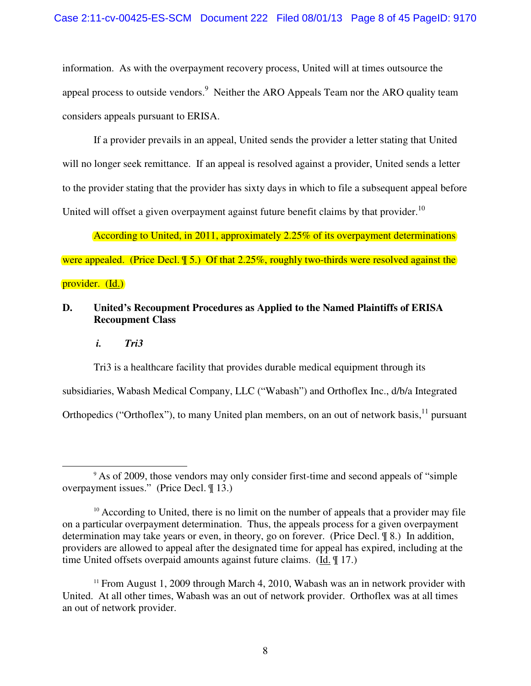information. As with the overpayment recovery process, United will at times outsource the appeal process to outside vendors.<sup>9</sup> Neither the ARO Appeals Team nor the ARO quality team considers appeals pursuant to ERISA.

 If a provider prevails in an appeal, United sends the provider a letter stating that United will no longer seek remittance. If an appeal is resolved against a provider, United sends a letter to the provider stating that the provider has sixty days in which to file a subsequent appeal before United will offset a given overpayment against future benefit claims by that provider.<sup>10</sup>

According to United, in 2011, approximately 2.25% of its overpayment determinations were appealed. (Price Decl.  $\sqrt{5}$ .) Of that 2.25%, roughly two-thirds were resolved against the provider. (Id.)

# **D. United's Recoupment Procedures as Applied to the Named Plaintiffs of ERISA Recoupment Class**

*i. Tri3* 

-

Tri3 is a healthcare facility that provides durable medical equipment through its

subsidiaries, Wabash Medical Company, LLC ("Wabash") and Orthoflex Inc., d/b/a Integrated

Orthopedics ("Orthoflex"), to many United plan members, on an out of network basis, <sup>11</sup> pursuant

<sup>&</sup>lt;sup>9</sup> As of 2009, those vendors may only consider first-time and second appeals of "simple" overpayment issues." (Price Decl. ¶ 13.)

 $10$  According to United, there is no limit on the number of appeals that a provider may file on a particular overpayment determination. Thus, the appeals process for a given overpayment determination may take years or even, in theory, go on forever. (Price Decl. ¶ 8.) In addition, providers are allowed to appeal after the designated time for appeal has expired, including at the time United offsets overpaid amounts against future claims. (Id. ¶ 17.)

 $11$  From August 1, 2009 through March 4, 2010, Wabash was an in network provider with United. At all other times, Wabash was an out of network provider. Orthoflex was at all times an out of network provider.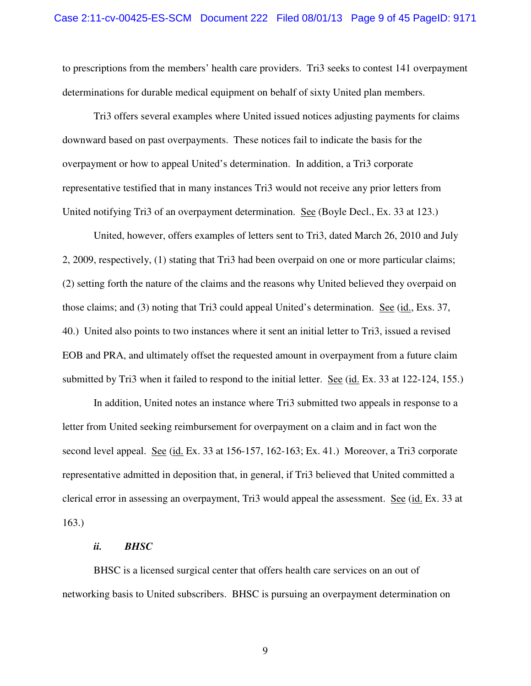to prescriptions from the members' health care providers. Tri3 seeks to contest 141 overpayment determinations for durable medical equipment on behalf of sixty United plan members.

Tri3 offers several examples where United issued notices adjusting payments for claims downward based on past overpayments. These notices fail to indicate the basis for the overpayment or how to appeal United's determination. In addition, a Tri3 corporate representative testified that in many instances Tri3 would not receive any prior letters from United notifying Tri3 of an overpayment determination. See (Boyle Decl., Ex. 33 at 123.)

United, however, offers examples of letters sent to Tri3, dated March 26, 2010 and July 2, 2009, respectively, (1) stating that Tri3 had been overpaid on one or more particular claims; (2) setting forth the nature of the claims and the reasons why United believed they overpaid on those claims; and (3) noting that Tri3 could appeal United's determination. See (id., Exs. 37, 40.) United also points to two instances where it sent an initial letter to Tri3, issued a revised EOB and PRA, and ultimately offset the requested amount in overpayment from a future claim submitted by Tri3 when it failed to respond to the initial letter. See (id. Ex. 33 at 122-124, 155.)

In addition, United notes an instance where Tri3 submitted two appeals in response to a letter from United seeking reimbursement for overpayment on a claim and in fact won the second level appeal. See (id. Ex. 33 at 156-157, 162-163; Ex. 41.) Moreover, a Tri3 corporate representative admitted in deposition that, in general, if Tri3 believed that United committed a clerical error in assessing an overpayment, Tri3 would appeal the assessment. See (id. Ex. 33 at 163.)

### *ii. BHSC*

BHSC is a licensed surgical center that offers health care services on an out of networking basis to United subscribers. BHSC is pursuing an overpayment determination on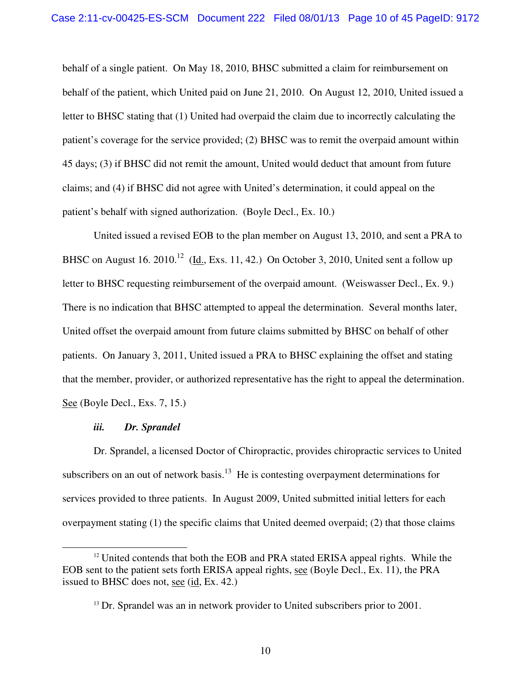behalf of a single patient. On May 18, 2010, BHSC submitted a claim for reimbursement on behalf of the patient, which United paid on June 21, 2010. On August 12, 2010, United issued a letter to BHSC stating that (1) United had overpaid the claim due to incorrectly calculating the patient's coverage for the service provided; (2) BHSC was to remit the overpaid amount within 45 days; (3) if BHSC did not remit the amount, United would deduct that amount from future claims; and (4) if BHSC did not agree with United's determination, it could appeal on the patient's behalf with signed authorization. (Boyle Decl., Ex. 10.)

United issued a revised EOB to the plan member on August 13, 2010, and sent a PRA to BHSC on August 16. 2010.<sup>12</sup> (Id., Exs. 11, 42.) On October 3, 2010, United sent a follow up letter to BHSC requesting reimbursement of the overpaid amount. (Weiswasser Decl., Ex. 9.) There is no indication that BHSC attempted to appeal the determination. Several months later, United offset the overpaid amount from future claims submitted by BHSC on behalf of other patients. On January 3, 2011, United issued a PRA to BHSC explaining the offset and stating that the member, provider, or authorized representative has the right to appeal the determination. See (Boyle Decl., Exs. 7, 15.)

### *iii. Dr. Sprandel*

Dr. Sprandel, a licensed Doctor of Chiropractic, provides chiropractic services to United subscribers on an out of network basis.<sup>13</sup> He is contesting overpayment determinations for services provided to three patients. In August 2009, United submitted initial letters for each overpayment stating (1) the specific claims that United deemed overpaid; (2) that those claims

j <sup>12</sup> United contends that both the EOB and PRA stated ERISA appeal rights. While the EOB sent to the patient sets forth ERISA appeal rights, see (Boyle Decl., Ex. 11), the PRA issued to BHSC does not, see (id, Ex. 42.)

<sup>&</sup>lt;sup>13</sup> Dr. Sprandel was an in network provider to United subscribers prior to 2001.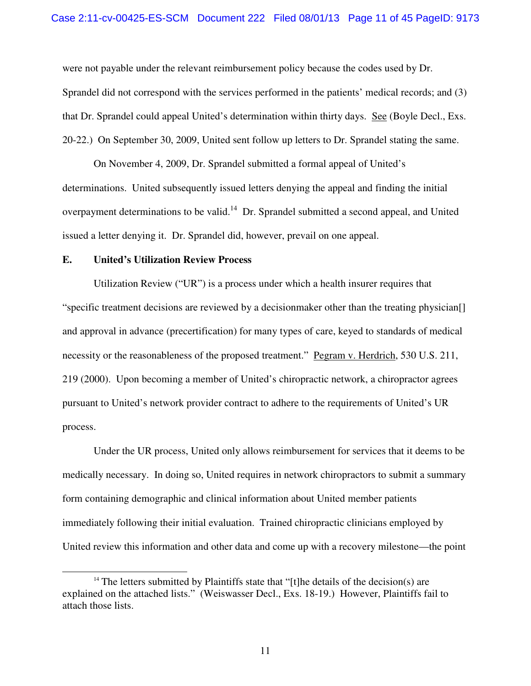were not payable under the relevant reimbursement policy because the codes used by Dr. Sprandel did not correspond with the services performed in the patients' medical records; and (3) that Dr. Sprandel could appeal United's determination within thirty days. See (Boyle Decl., Exs. 20-22.) On September 30, 2009, United sent follow up letters to Dr. Sprandel stating the same.

On November 4, 2009, Dr. Sprandel submitted a formal appeal of United's determinations. United subsequently issued letters denying the appeal and finding the initial overpayment determinations to be valid.<sup>14</sup> Dr. Sprandel submitted a second appeal, and United issued a letter denying it. Dr. Sprandel did, however, prevail on one appeal.

# **E. United's Utilization Review Process**

-

Utilization Review ("UR") is a process under which a health insurer requires that "specific treatment decisions are reviewed by a decisionmaker other than the treating physician[] and approval in advance (precertification) for many types of care, keyed to standards of medical necessity or the reasonableness of the proposed treatment." Pegram v. Herdrich, 530 U.S. 211, 219 (2000). Upon becoming a member of United's chiropractic network, a chiropractor agrees pursuant to United's network provider contract to adhere to the requirements of United's UR process.

 Under the UR process, United only allows reimbursement for services that it deems to be medically necessary. In doing so, United requires in network chiropractors to submit a summary form containing demographic and clinical information about United member patients immediately following their initial evaluation. Trained chiropractic clinicians employed by United review this information and other data and come up with a recovery milestone—the point

 $14$ <sup>14</sup> The letters submitted by Plaintiffs state that "[t]he details of the decision(s) are explained on the attached lists." (Weiswasser Decl., Exs. 18-19.) However, Plaintiffs fail to attach those lists.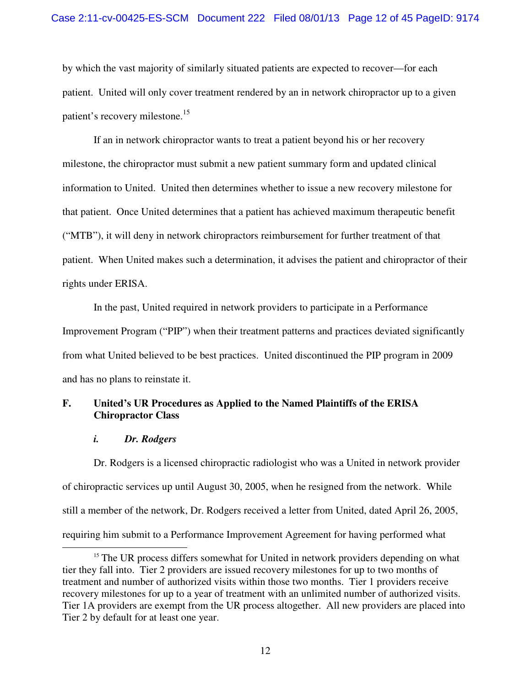by which the vast majority of similarly situated patients are expected to recover—for each patient. United will only cover treatment rendered by an in network chiropractor up to a given patient's recovery milestone.<sup>15</sup>

If an in network chiropractor wants to treat a patient beyond his or her recovery milestone, the chiropractor must submit a new patient summary form and updated clinical information to United. United then determines whether to issue a new recovery milestone for that patient. Once United determines that a patient has achieved maximum therapeutic benefit ("MTB"), it will deny in network chiropractors reimbursement for further treatment of that patient. When United makes such a determination, it advises the patient and chiropractor of their rights under ERISA.

In the past, United required in network providers to participate in a Performance Improvement Program ("PIP") when their treatment patterns and practices deviated significantly from what United believed to be best practices. United discontinued the PIP program in 2009 and has no plans to reinstate it.

# **F. United's UR Procedures as Applied to the Named Plaintiffs of the ERISA Chiropractor Class**

# *i. Dr. Rodgers*

Dr. Rodgers is a licensed chiropractic radiologist who was a United in network provider of chiropractic services up until August 30, 2005, when he resigned from the network. While still a member of the network, Dr. Rodgers received a letter from United, dated April 26, 2005, requiring him submit to a Performance Improvement Agreement for having performed what

j <sup>15</sup> The UR process differs somewhat for United in network providers depending on what tier they fall into. Tier 2 providers are issued recovery milestones for up to two months of treatment and number of authorized visits within those two months. Tier 1 providers receive recovery milestones for up to a year of treatment with an unlimited number of authorized visits. Tier 1A providers are exempt from the UR process altogether. All new providers are placed into Tier 2 by default for at least one year.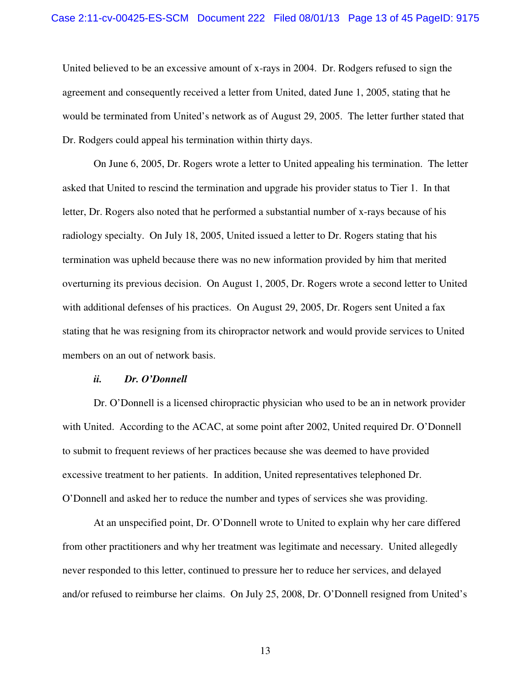United believed to be an excessive amount of x-rays in 2004. Dr. Rodgers refused to sign the agreement and consequently received a letter from United, dated June 1, 2005, stating that he would be terminated from United's network as of August 29, 2005. The letter further stated that Dr. Rodgers could appeal his termination within thirty days.

 On June 6, 2005, Dr. Rogers wrote a letter to United appealing his termination. The letter asked that United to rescind the termination and upgrade his provider status to Tier 1. In that letter, Dr. Rogers also noted that he performed a substantial number of x-rays because of his radiology specialty. On July 18, 2005, United issued a letter to Dr. Rogers stating that his termination was upheld because there was no new information provided by him that merited overturning its previous decision. On August 1, 2005, Dr. Rogers wrote a second letter to United with additional defenses of his practices. On August 29, 2005, Dr. Rogers sent United a fax stating that he was resigning from its chiropractor network and would provide services to United members on an out of network basis.

### *ii. Dr. O'Donnell*

 Dr. O'Donnell is a licensed chiropractic physician who used to be an in network provider with United. According to the ACAC, at some point after 2002, United required Dr. O'Donnell to submit to frequent reviews of her practices because she was deemed to have provided excessive treatment to her patients. In addition, United representatives telephoned Dr. O'Donnell and asked her to reduce the number and types of services she was providing.

 At an unspecified point, Dr. O'Donnell wrote to United to explain why her care differed from other practitioners and why her treatment was legitimate and necessary. United allegedly never responded to this letter, continued to pressure her to reduce her services, and delayed and/or refused to reimburse her claims. On July 25, 2008, Dr. O'Donnell resigned from United's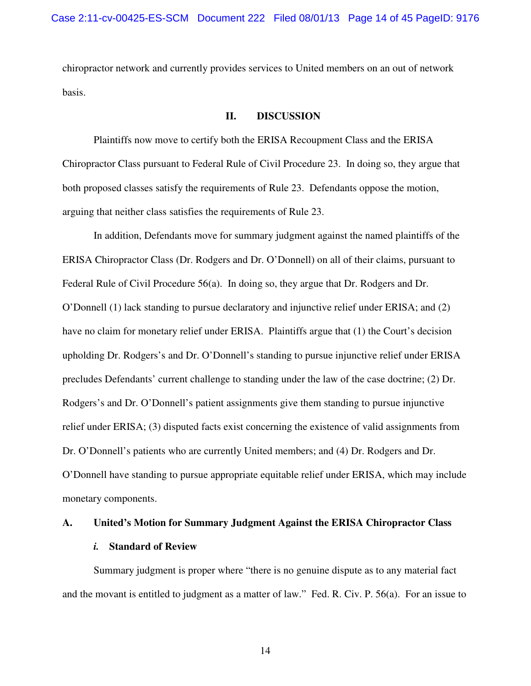chiropractor network and currently provides services to United members on an out of network basis.

# **II. DISCUSSION**

Plaintiffs now move to certify both the ERISA Recoupment Class and the ERISA Chiropractor Class pursuant to Federal Rule of Civil Procedure 23. In doing so, they argue that both proposed classes satisfy the requirements of Rule 23. Defendants oppose the motion, arguing that neither class satisfies the requirements of Rule 23.

In addition, Defendants move for summary judgment against the named plaintiffs of the ERISA Chiropractor Class (Dr. Rodgers and Dr. O'Donnell) on all of their claims, pursuant to Federal Rule of Civil Procedure 56(a). In doing so, they argue that Dr. Rodgers and Dr. O'Donnell (1) lack standing to pursue declaratory and injunctive relief under ERISA; and (2) have no claim for monetary relief under ERISA. Plaintiffs argue that (1) the Court's decision upholding Dr. Rodgers's and Dr. O'Donnell's standing to pursue injunctive relief under ERISA precludes Defendants' current challenge to standing under the law of the case doctrine; (2) Dr. Rodgers's and Dr. O'Donnell's patient assignments give them standing to pursue injunctive relief under ERISA; (3) disputed facts exist concerning the existence of valid assignments from Dr. O'Donnell's patients who are currently United members; and (4) Dr. Rodgers and Dr. O'Donnell have standing to pursue appropriate equitable relief under ERISA, which may include monetary components.

#### **A. United's Motion for Summary Judgment Against the ERISA Chiropractor Class**

# *i.* **Standard of Review**

Summary judgment is proper where "there is no genuine dispute as to any material fact and the movant is entitled to judgment as a matter of law." Fed. R. Civ. P. 56(a). For an issue to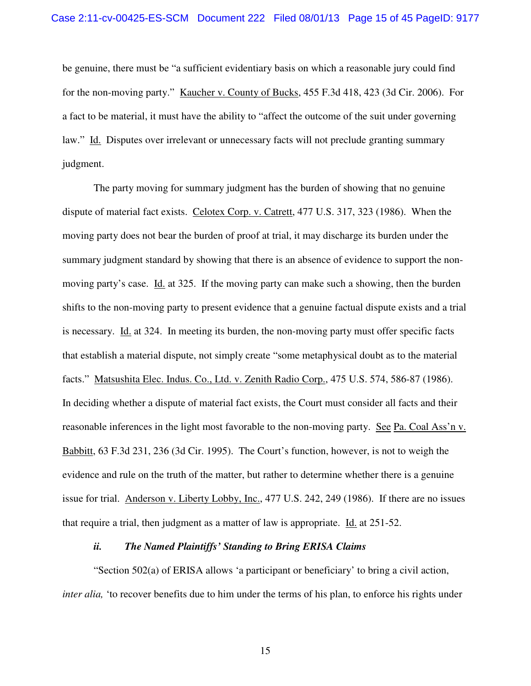be genuine, there must be "a sufficient evidentiary basis on which a reasonable jury could find for the non-moving party." Kaucher v. County of Bucks, 455 F.3d 418, 423 (3d Cir. 2006). For a fact to be material, it must have the ability to "affect the outcome of the suit under governing law." Id. Disputes over irrelevant or unnecessary facts will not preclude granting summary judgment.

The party moving for summary judgment has the burden of showing that no genuine dispute of material fact exists. Celotex Corp. v. Catrett, 477 U.S. 317, 323 (1986). When the moving party does not bear the burden of proof at trial, it may discharge its burden under the summary judgment standard by showing that there is an absence of evidence to support the nonmoving party's case. Id. at 325. If the moving party can make such a showing, then the burden shifts to the non-moving party to present evidence that a genuine factual dispute exists and a trial is necessary. Id. at 324. In meeting its burden, the non-moving party must offer specific facts that establish a material dispute, not simply create "some metaphysical doubt as to the material facts." Matsushita Elec. Indus. Co., Ltd. v. Zenith Radio Corp., 475 U.S. 574, 586-87 (1986). In deciding whether a dispute of material fact exists, the Court must consider all facts and their reasonable inferences in the light most favorable to the non-moving party. See Pa. Coal Ass'n v. Babbitt, 63 F.3d 231, 236 (3d Cir. 1995). The Court's function, however, is not to weigh the evidence and rule on the truth of the matter, but rather to determine whether there is a genuine issue for trial. Anderson v. Liberty Lobby, Inc., 477 U.S. 242, 249 (1986). If there are no issues that require a trial, then judgment as a matter of law is appropriate. Id. at 251-52.

# *ii. The Named Plaintiffs' Standing to Bring ERISA Claims*

 "Section 502(a) of ERISA allows 'a participant or beneficiary' to bring a civil action, *inter alia*, 'to recover benefits due to him under the terms of his plan, to enforce his rights under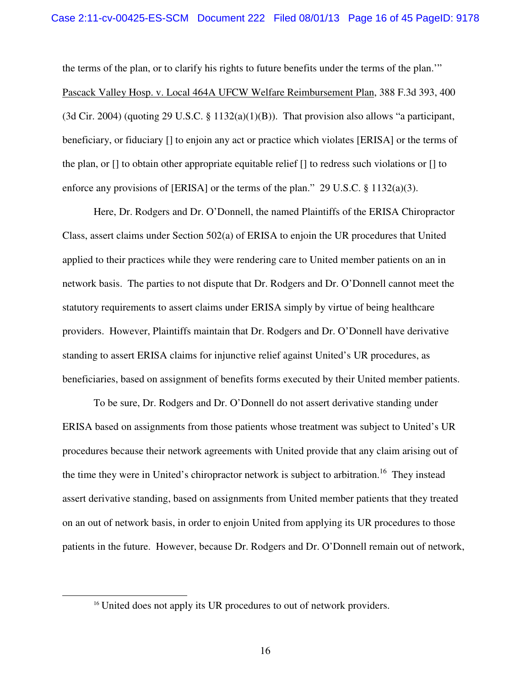the terms of the plan, or to clarify his rights to future benefits under the terms of the plan.'" Pascack Valley Hosp. v. Local 464A UFCW Welfare Reimbursement Plan, 388 F.3d 393, 400 (3d Cir. 2004) (quoting 29 U.S.C. § 1132(a)(1)(B)). That provision also allows "a participant, beneficiary, or fiduciary [] to enjoin any act or practice which violates [ERISA] or the terms of the plan, or [] to obtain other appropriate equitable relief [] to redress such violations or [] to enforce any provisions of [ERISA] or the terms of the plan." 29 U.S.C.  $\S$  1132(a)(3).

Here, Dr. Rodgers and Dr. O'Donnell, the named Plaintiffs of the ERISA Chiropractor Class, assert claims under Section 502(a) of ERISA to enjoin the UR procedures that United applied to their practices while they were rendering care to United member patients on an in network basis. The parties to not dispute that Dr. Rodgers and Dr. O'Donnell cannot meet the statutory requirements to assert claims under ERISA simply by virtue of being healthcare providers. However, Plaintiffs maintain that Dr. Rodgers and Dr. O'Donnell have derivative standing to assert ERISA claims for injunctive relief against United's UR procedures, as beneficiaries, based on assignment of benefits forms executed by their United member patients.

To be sure, Dr. Rodgers and Dr. O'Donnell do not assert derivative standing under ERISA based on assignments from those patients whose treatment was subject to United's UR procedures because their network agreements with United provide that any claim arising out of the time they were in United's chiropractor network is subject to arbitration.<sup>16</sup> They instead assert derivative standing, based on assignments from United member patients that they treated on an out of network basis, in order to enjoin United from applying its UR procedures to those patients in the future. However, because Dr. Rodgers and Dr. O'Donnell remain out of network,

l

<sup>&</sup>lt;sup>16</sup> United does not apply its UR procedures to out of network providers.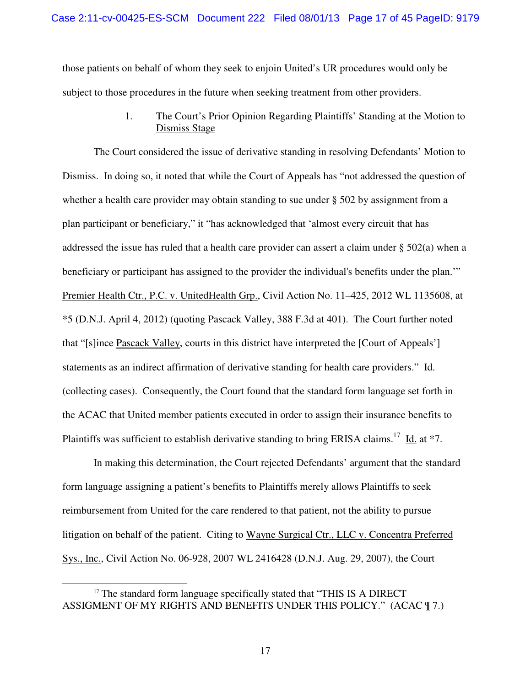those patients on behalf of whom they seek to enjoin United's UR procedures would only be subject to those procedures in the future when seeking treatment from other providers.

# 1. The Court's Prior Opinion Regarding Plaintiffs' Standing at the Motion to Dismiss Stage

 The Court considered the issue of derivative standing in resolving Defendants' Motion to Dismiss. In doing so, it noted that while the Court of Appeals has "not addressed the question of whether a health care provider may obtain standing to sue under § 502 by assignment from a plan participant or beneficiary," it "has acknowledged that 'almost every circuit that has addressed the issue has ruled that a health care provider can assert a claim under § 502(a) when a beneficiary or participant has assigned to the provider the individual's benefits under the plan.'" Premier Health Ctr., P.C. v. UnitedHealth Grp., Civil Action No. 11–425, 2012 WL 1135608, at \*5 (D.N.J. April 4, 2012) (quoting Pascack Valley, 388 F.3d at 401). The Court further noted that "[s]ince Pascack Valley, courts in this district have interpreted the [Court of Appeals'] statements as an indirect affirmation of derivative standing for health care providers." Id. (collecting cases). Consequently, the Court found that the standard form language set forth in the ACAC that United member patients executed in order to assign their insurance benefits to Plaintiffs was sufficient to establish derivative standing to bring ERISA claims.<sup>17</sup> Id. at  $*7$ .

 In making this determination, the Court rejected Defendants' argument that the standard form language assigning a patient's benefits to Plaintiffs merely allows Plaintiffs to seek reimbursement from United for the care rendered to that patient, not the ability to pursue litigation on behalf of the patient. Citing to Wayne Surgical Ctr., LLC v. Concentra Preferred Sys., Inc., Civil Action No. 06-928, 2007 WL 2416428 (D.N.J. Aug. 29, 2007), the Court

l

<sup>&</sup>lt;sup>17</sup> The standard form language specifically stated that "THIS IS A DIRECT" ASSIGMENT OF MY RIGHTS AND BENEFITS UNDER THIS POLICY." (ACAC ¶ 7.)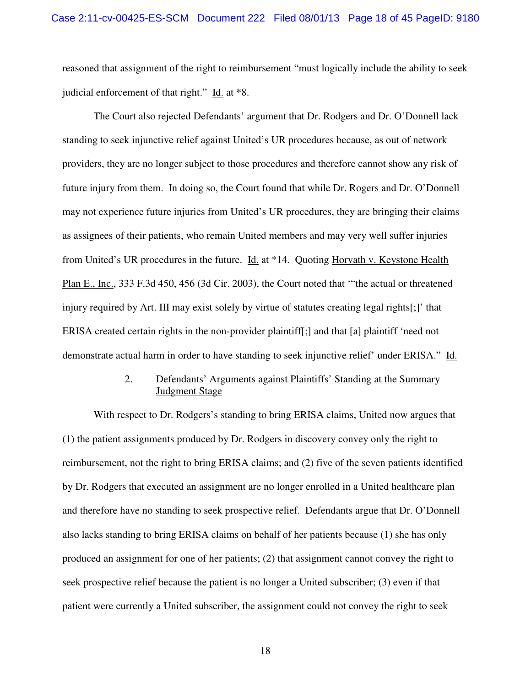reasoned that assignment of the right to reimbursement "must logically include the ability to seek judicial enforcement of that right." Id. at \*8.

 The Court also rejected Defendants' argument that Dr. Rodgers and Dr. O'Donnell lack standing to seek injunctive relief against United's UR procedures because, as out of network providers, they are no longer subject to those procedures and therefore cannot show any risk of future injury from them. In doing so, the Court found that while Dr. Rogers and Dr. O'Donnell may not experience future injuries from United's UR procedures, they are bringing their claims as assignees of their patients, who remain United members and may very well suffer injuries from United's UR procedures in the future. Id. at \*14. Quoting Horvath v. Keystone Health Plan E., Inc., 333 F.3d 450, 456 (3d Cir. 2003), the Court noted that '"the actual or threatened injury required by Art. III may exist solely by virtue of statutes creating legal rights[;]' that ERISA created certain rights in the non-provider plaintiff[;] and that [a] plaintiff 'need not demonstrate actual harm in order to have standing to seek injunctive relief' under ERISA." Id.

# 2. Defendants' Arguments against Plaintiffs' Standing at the Summary Judgment Stage

 With respect to Dr. Rodgers's standing to bring ERISA claims, United now argues that (1) the patient assignments produced by Dr. Rodgers in discovery convey only the right to reimbursement, not the right to bring ERISA claims; and (2) five of the seven patients identified by Dr. Rodgers that executed an assignment are no longer enrolled in a United healthcare plan and therefore have no standing to seek prospective relief. Defendants argue that Dr. O'Donnell also lacks standing to bring ERISA claims on behalf of her patients because (1) she has only produced an assignment for one of her patients; (2) that assignment cannot convey the right to seek prospective relief because the patient is no longer a United subscriber; (3) even if that patient were currently a United subscriber, the assignment could not convey the right to seek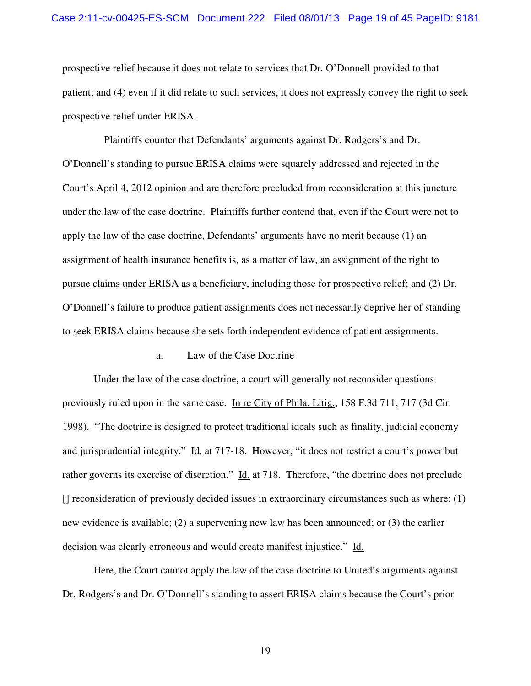prospective relief because it does not relate to services that Dr. O'Donnell provided to that patient; and (4) even if it did relate to such services, it does not expressly convey the right to seek prospective relief under ERISA.

 Plaintiffs counter that Defendants' arguments against Dr. Rodgers's and Dr. O'Donnell's standing to pursue ERISA claims were squarely addressed and rejected in the Court's April 4, 2012 opinion and are therefore precluded from reconsideration at this juncture under the law of the case doctrine. Plaintiffs further contend that, even if the Court were not to apply the law of the case doctrine, Defendants' arguments have no merit because (1) an assignment of health insurance benefits is, as a matter of law, an assignment of the right to pursue claims under ERISA as a beneficiary, including those for prospective relief; and (2) Dr. O'Donnell's failure to produce patient assignments does not necessarily deprive her of standing to seek ERISA claims because she sets forth independent evidence of patient assignments.

### a. Law of the Case Doctrine

Under the law of the case doctrine, a court will generally not reconsider questions previously ruled upon in the same case. In re City of Phila. Litig., 158 F.3d 711, 717 (3d Cir. 1998). "The doctrine is designed to protect traditional ideals such as finality, judicial economy and jurisprudential integrity." Id. at 717-18. However, "it does not restrict a court's power but rather governs its exercise of discretion." Id. at 718. Therefore, "the doctrine does not preclude [] reconsideration of previously decided issues in extraordinary circumstances such as where: (1) new evidence is available; (2) a supervening new law has been announced; or (3) the earlier decision was clearly erroneous and would create manifest injustice." Id.

 Here, the Court cannot apply the law of the case doctrine to United's arguments against Dr. Rodgers's and Dr. O'Donnell's standing to assert ERISA claims because the Court's prior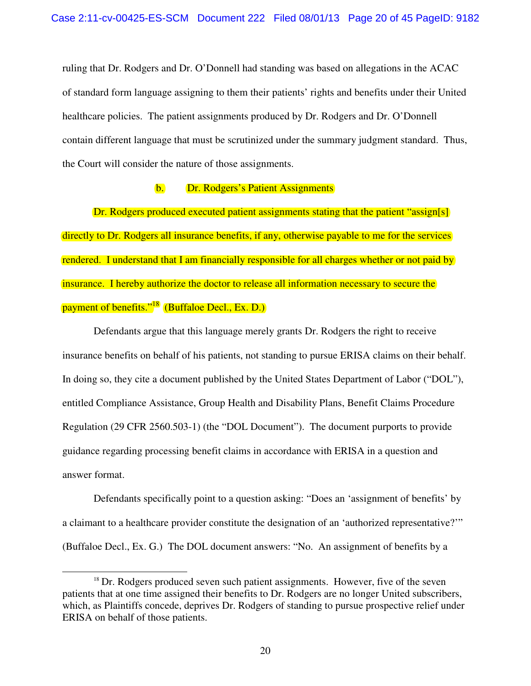ruling that Dr. Rodgers and Dr. O'Donnell had standing was based on allegations in the ACAC of standard form language assigning to them their patients' rights and benefits under their United healthcare policies. The patient assignments produced by Dr. Rodgers and Dr. O'Donnell contain different language that must be scrutinized under the summary judgment standard. Thus, the Court will consider the nature of those assignments.

# b. Dr. Rodgers's Patient Assignments

Dr. Rodgers produced executed patient assignments stating that the patient "assign[s] directly to Dr. Rodgers all insurance benefits, if any, otherwise payable to me for the services rendered. I understand that I am financially responsible for all charges whether or not paid by insurance. I hereby authorize the doctor to release all information necessary to secure the payment of benefits."<sup>18</sup> (Buffaloe Decl., Ex. D.)

Defendants argue that this language merely grants Dr. Rodgers the right to receive insurance benefits on behalf of his patients, not standing to pursue ERISA claims on their behalf. In doing so, they cite a document published by the United States Department of Labor ("DOL"), entitled Compliance Assistance, Group Health and Disability Plans, Benefit Claims Procedure Regulation (29 CFR 2560.503-1) (the "DOL Document"). The document purports to provide guidance regarding processing benefit claims in accordance with ERISA in a question and answer format.

Defendants specifically point to a question asking: "Does an 'assignment of benefits' by a claimant to a healthcare provider constitute the designation of an 'authorized representative?'" (Buffaloe Decl., Ex. G.) The DOL document answers: "No. An assignment of benefits by a

-

 $18$  Dr. Rodgers produced seven such patient assignments. However, five of the seven patients that at one time assigned their benefits to Dr. Rodgers are no longer United subscribers, which, as Plaintiffs concede, deprives Dr. Rodgers of standing to pursue prospective relief under ERISA on behalf of those patients.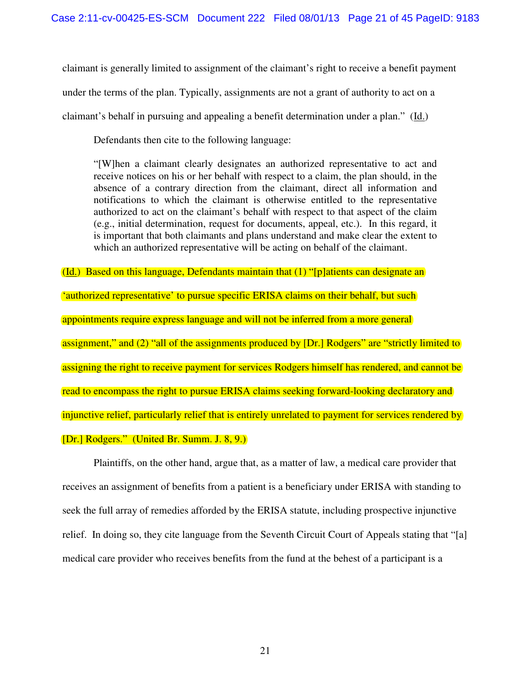claimant is generally limited to assignment of the claimant's right to receive a benefit payment

under the terms of the plan. Typically, assignments are not a grant of authority to act on a

claimant's behalf in pursuing and appealing a benefit determination under a plan." (Id.)

Defendants then cite to the following language:

"[W]hen a claimant clearly designates an authorized representative to act and receive notices on his or her behalf with respect to a claim, the plan should, in the absence of a contrary direction from the claimant, direct all information and notifications to which the claimant is otherwise entitled to the representative authorized to act on the claimant's behalf with respect to that aspect of the claim (e.g., initial determination, request for documents, appeal, etc.). In this regard, it is important that both claimants and plans understand and make clear the extent to which an authorized representative will be acting on behalf of the claimant.

(Id.) Based on this language, Defendants maintain that (1) "[p]atients can designate an 'authorized representative' to pursue specific ERISA claims on their behalf, but such appointments require express language and will not be inferred from a more general assignment," and (2) "all of the assignments produced by [Dr.] Rodgers" are "strictly limited to assigning the right to receive payment for services Rodgers himself has rendered, and cannot be read to encompass the right to pursue ERISA claims seeking forward-looking declaratory and injunctive relief, particularly relief that is entirely unrelated to payment for services rendered by [Dr.] Rodgers." (United Br. Summ. J. 8, 9.)

 Plaintiffs, on the other hand, argue that, as a matter of law, a medical care provider that receives an assignment of benefits from a patient is a beneficiary under ERISA with standing to seek the full array of remedies afforded by the ERISA statute, including prospective injunctive relief. In doing so, they cite language from the Seventh Circuit Court of Appeals stating that "[a] medical care provider who receives benefits from the fund at the behest of a participant is a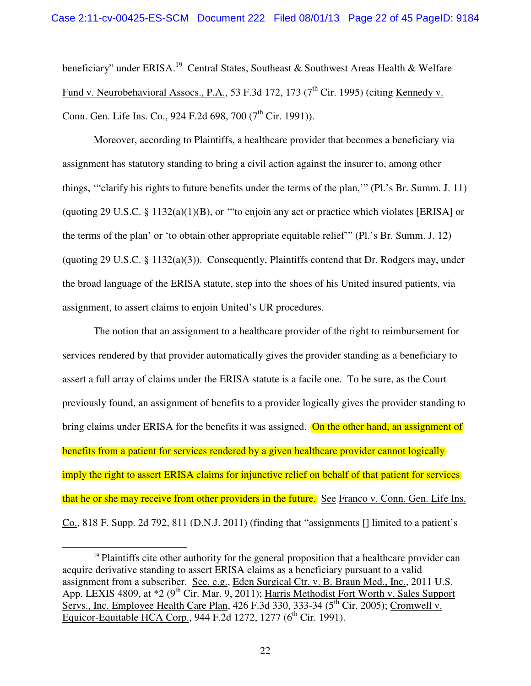beneficiary" under ERISA.<sup>19</sup> Central States, Southeast & Southwest Areas Health & Welfare Fund v. Neurobehavioral Assocs., P.A., 53 F.3d 172, 173 ( $7<sup>th</sup>$  Cir. 1995) (citing Kennedy v. Conn. Gen. Life Ins. Co., 924 F.2d 698, 700 (7<sup>th</sup> Cir. 1991)).

 Moreover, according to Plaintiffs, a healthcare provider that becomes a beneficiary via assignment has statutory standing to bring a civil action against the insurer to, among other things, '"clarify his rights to future benefits under the terms of the plan,'" (Pl.'s Br. Summ. J. 11) (quoting 29 U.S.C. § 1132(a)(1)(B), or '"to enjoin any act or practice which violates [ERISA] or the terms of the plan' or 'to obtain other appropriate equitable relief'" (Pl.'s Br. Summ. J. 12) (quoting 29 U.S.C. § 1132(a)(3)). Consequently, Plaintiffs contend that Dr. Rodgers may, under the broad language of the ERISA statute, step into the shoes of his United insured patients, via assignment, to assert claims to enjoin United's UR procedures.

 The notion that an assignment to a healthcare provider of the right to reimbursement for services rendered by that provider automatically gives the provider standing as a beneficiary to assert a full array of claims under the ERISA statute is a facile one. To be sure, as the Court previously found, an assignment of benefits to a provider logically gives the provider standing to bring claims under ERISA for the benefits it was assigned. On the other hand, an assignment of benefits from a patient for services rendered by a given healthcare provider cannot logically imply the right to assert ERISA claims for injunctive relief on behalf of that patient for services that he or she may receive from other providers in the future. See Franco v. Conn. Gen. Life Ins. Co., 818 F. Supp. 2d 792, 811 (D.N.J. 2011) (finding that "assignments [] limited to a patient's

j

 $19$  Plaintiffs cite other authority for the general proposition that a healthcare provider can acquire derivative standing to assert ERISA claims as a beneficiary pursuant to a valid assignment from a subscriber. See, e.g., Eden Surgical Ctr. v. B. Braun Med., Inc., 2011 U.S. App. LEXIS 4809, at  $*2$  (9<sup>th</sup> Cir. Mar. 9, 2011); Harris Methodist Fort Worth v. Sales Support Servs., Inc. Employee Health Care Plan,  $426$  F.3d 330, 333-34 ( $5<sup>th</sup>$  Cir. 2005); Cromwell v. Equicor-Equitable HCA Corp., 944 F.2d 1272, 1277 ( $6<sup>th</sup>$  Cir. 1991).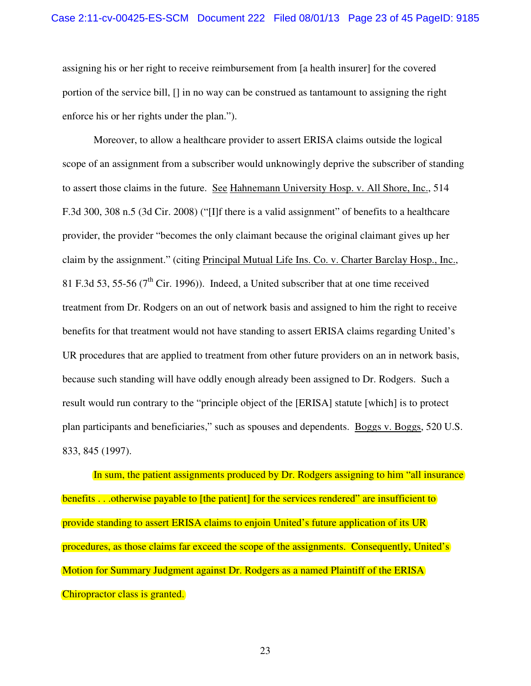assigning his or her right to receive reimbursement from [a health insurer] for the covered portion of the service bill, [] in no way can be construed as tantamount to assigning the right enforce his or her rights under the plan.").

Moreover, to allow a healthcare provider to assert ERISA claims outside the logical scope of an assignment from a subscriber would unknowingly deprive the subscriber of standing to assert those claims in the future. See Hahnemann University Hosp. v. All Shore, Inc., 514 F.3d 300, 308 n.5 (3d Cir. 2008) ("[I]f there is a valid assignment" of benefits to a healthcare provider, the provider "becomes the only claimant because the original claimant gives up her claim by the assignment." (citing Principal Mutual Life Ins. Co. v. Charter Barclay Hosp., Inc., 81 F.3d 53, 55-56 ( $7<sup>th</sup>$  Cir. 1996)). Indeed, a United subscriber that at one time received treatment from Dr. Rodgers on an out of network basis and assigned to him the right to receive benefits for that treatment would not have standing to assert ERISA claims regarding United's UR procedures that are applied to treatment from other future providers on an in network basis, because such standing will have oddly enough already been assigned to Dr. Rodgers. Such a result would run contrary to the "principle object of the [ERISA] statute [which] is to protect plan participants and beneficiaries," such as spouses and dependents. Boggs v. Boggs, 520 U.S. 833, 845 (1997).

In sum, the patient assignments produced by Dr. Rodgers assigning to him "all insurance" benefits . . .otherwise payable to [the patient] for the services rendered" are insufficient to provide standing to assert ERISA claims to enjoin United's future application of its UR procedures, as those claims far exceed the scope of the assignments. Consequently, United's Motion for Summary Judgment against Dr. Rodgers as a named Plaintiff of the ERISA Chiropractor class is granted.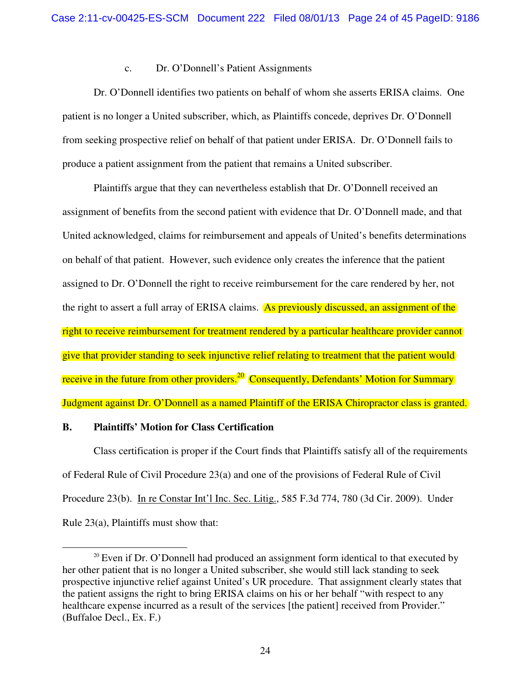### c. Dr. O'Donnell's Patient Assignments

Dr. O'Donnell identifies two patients on behalf of whom she asserts ERISA claims. One patient is no longer a United subscriber, which, as Plaintiffs concede, deprives Dr. O'Donnell from seeking prospective relief on behalf of that patient under ERISA. Dr. O'Donnell fails to produce a patient assignment from the patient that remains a United subscriber.

Plaintiffs argue that they can nevertheless establish that Dr. O'Donnell received an assignment of benefits from the second patient with evidence that Dr. O'Donnell made, and that United acknowledged, claims for reimbursement and appeals of United's benefits determinations on behalf of that patient. However, such evidence only creates the inference that the patient assigned to Dr. O'Donnell the right to receive reimbursement for the care rendered by her, not the right to assert a full array of ERISA claims. As previously discussed, an assignment of the right to receive reimbursement for treatment rendered by a particular healthcare provider cannot give that provider standing to seek injunctive relief relating to treatment that the patient would receive in the future from other providers.<sup>20</sup> Consequently, Defendants' Motion for Summary Judgment against Dr. O'Donnell as a named Plaintiff of the ERISA Chiropractor class is granted.

# **B. Plaintiffs' Motion for Class Certification**

j

Class certification is proper if the Court finds that Plaintiffs satisfy all of the requirements of Federal Rule of Civil Procedure 23(a) and one of the provisions of Federal Rule of Civil Procedure 23(b). In re Constar Int'l Inc. Sec. Litig., 585 F.3d 774, 780 (3d Cir. 2009). Under Rule 23(a), Plaintiffs must show that:

 $20$  Even if Dr. O'Donnell had produced an assignment form identical to that executed by her other patient that is no longer a United subscriber, she would still lack standing to seek prospective injunctive relief against United's UR procedure. That assignment clearly states that the patient assigns the right to bring ERISA claims on his or her behalf "with respect to any healthcare expense incurred as a result of the services [the patient] received from Provider." (Buffaloe Decl., Ex. F.)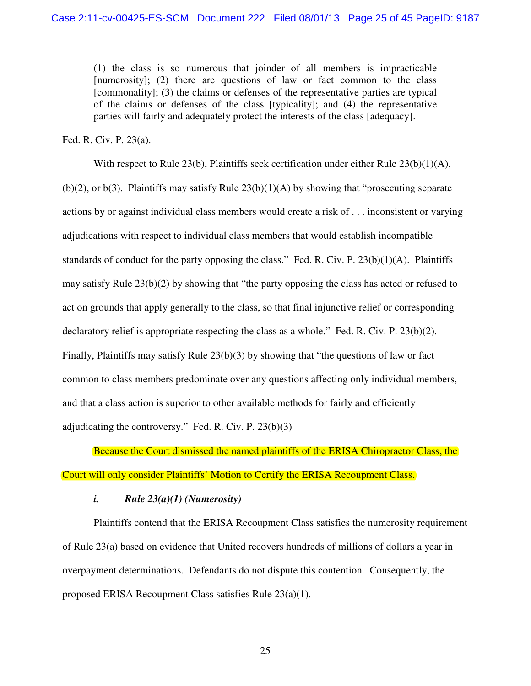(1) the class is so numerous that joinder of all members is impracticable [numerosity]; (2) there are questions of law or fact common to the class [commonality]; (3) the claims or defenses of the representative parties are typical of the claims or defenses of the class [typicality]; and (4) the representative parties will fairly and adequately protect the interests of the class [adequacy].

Fed. R. Civ. P. 23(a).

With respect to Rule 23(b), Plaintiffs seek certification under either Rule 23(b)(1)(A), (b)(2), or  $b(3)$ . Plaintiffs may satisfy Rule  $23(b)(1)(A)$  by showing that "prosecuting separate" actions by or against individual class members would create a risk of . . . inconsistent or varying adjudications with respect to individual class members that would establish incompatible standards of conduct for the party opposing the class." Fed. R. Civ. P. 23(b)(1)(A). Plaintiffs may satisfy Rule 23(b)(2) by showing that "the party opposing the class has acted or refused to act on grounds that apply generally to the class, so that final injunctive relief or corresponding declaratory relief is appropriate respecting the class as a whole." Fed. R. Civ. P. 23(b)(2). Finally, Plaintiffs may satisfy Rule 23(b)(3) by showing that "the questions of law or fact common to class members predominate over any questions affecting only individual members, and that a class action is superior to other available methods for fairly and efficiently adjudicating the controversy." Fed. R. Civ. P.  $23(b)(3)$ 

 Because the Court dismissed the named plaintiffs of the ERISA Chiropractor Class, the Court will only consider Plaintiffs' Motion to Certify the ERISA Recoupment Class.

# *i. Rule 23(a)(1) (Numerosity)*

Plaintiffs contend that the ERISA Recoupment Class satisfies the numerosity requirement of Rule 23(a) based on evidence that United recovers hundreds of millions of dollars a year in overpayment determinations. Defendants do not dispute this contention. Consequently, the proposed ERISA Recoupment Class satisfies Rule 23(a)(1).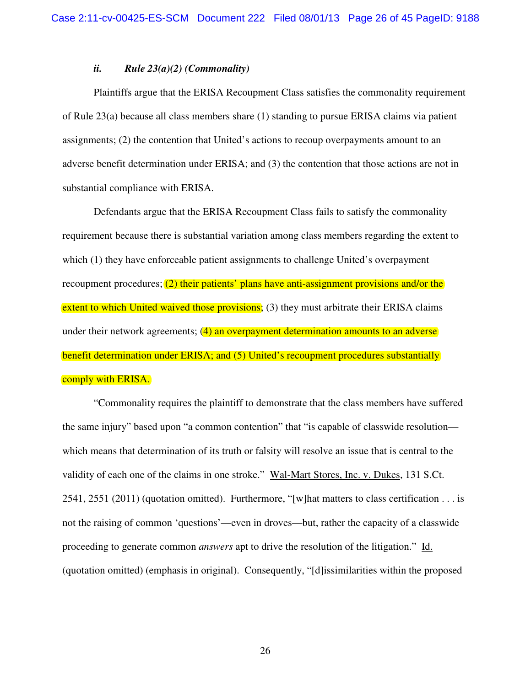# *ii. Rule 23(a)(2) (Commonality)*

Plaintiffs argue that the ERISA Recoupment Class satisfies the commonality requirement of Rule 23(a) because all class members share (1) standing to pursue ERISA claims via patient assignments; (2) the contention that United's actions to recoup overpayments amount to an adverse benefit determination under ERISA; and (3) the contention that those actions are not in substantial compliance with ERISA.

Defendants argue that the ERISA Recoupment Class fails to satisfy the commonality requirement because there is substantial variation among class members regarding the extent to which (1) they have enforceable patient assignments to challenge United's overpayment recoupment procedures;  $(2)$  their patients' plans have anti-assignment provisions and/or the extent to which United waived those provisions; (3) they must arbitrate their ERISA claims under their network agreements; (4) an overpayment determination amounts to an adverse benefit determination under ERISA; and (5) United's recoupment procedures substantially comply with ERISA.

 "Commonality requires the plaintiff to demonstrate that the class members have suffered the same injury" based upon "a common contention" that "is capable of classwide resolution which means that determination of its truth or falsity will resolve an issue that is central to the validity of each one of the claims in one stroke." Wal-Mart Stores, Inc. v. Dukes, 131 S.Ct. 2541, 2551 (2011) (quotation omitted). Furthermore, "[w]hat matters to class certification . . . is not the raising of common 'questions'—even in droves—but, rather the capacity of a classwide proceeding to generate common *answers* apt to drive the resolution of the litigation." Id. (quotation omitted) (emphasis in original). Consequently, "[d]issimilarities within the proposed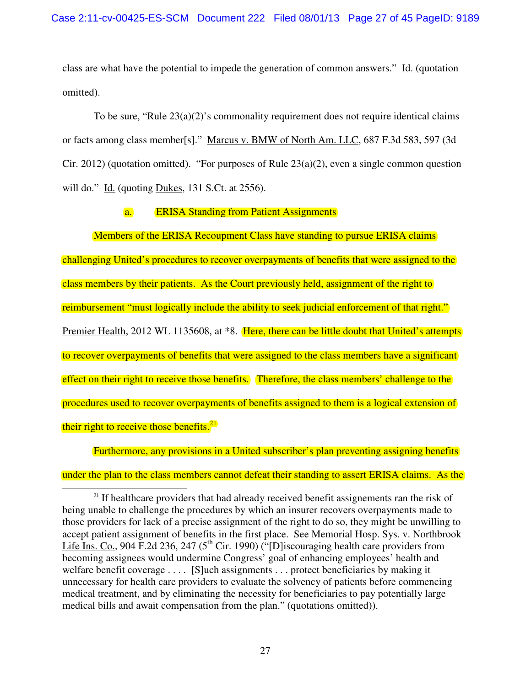class are what have the potential to impede the generation of common answers." Id. (quotation omitted).

To be sure, "Rule  $23(a)(2)$ 's commonality requirement does not require identical claims or facts among class member[s]." Marcus v. BMW of North Am. LLC, 687 F.3d 583, 597 (3d Cir. 2012) (quotation omitted). "For purposes of Rule  $23(a)(2)$ , even a single common question will do." Id. (quoting Dukes, 131 S.Ct. at 2556).

# a. ERISA Standing from Patient Assignments

Members of the ERISA Recoupment Class have standing to pursue ERISA claims

challenging United's procedures to recover overpayments of benefits that were assigned to the class members by their patients. As the Court previously held, assignment of the right to reimbursement "must logically include the ability to seek judicial enforcement of that right." Premier Health, 2012 WL 1135608, at \*8. Here, there can be little doubt that United's attempts to recover overpayments of benefits that were assigned to the class members have a significant effect on their right to receive those benefits. Therefore, the class members' challenge to the procedures used to recover overpayments of benefits assigned to them is a logical extension of their right to receive those benefits.<sup>21</sup>

 Furthermore, any provisions in a United subscriber's plan preventing assigning benefits under the plan to the class members cannot defeat their standing to assert ERISA claims. As the

j  $21$  If healthcare providers that had already received benefit assignements ran the risk of being unable to challenge the procedures by which an insurer recovers overpayments made to those providers for lack of a precise assignment of the right to do so, they might be unwilling to accept patient assignment of benefits in the first place. See Memorial Hosp. Sys. v. Northbrook Life Ins. Co., 904 F.2d 236, 247 ( $5<sup>th</sup>$  Cir. 1990) ("[D] iscouraging health care providers from becoming assignees would undermine Congress' goal of enhancing employees' health and welfare benefit coverage . . . . [S]uch assignments . . . protect beneficiaries by making it unnecessary for health care providers to evaluate the solvency of patients before commencing medical treatment, and by eliminating the necessity for beneficiaries to pay potentially large medical bills and await compensation from the plan." (quotations omitted)).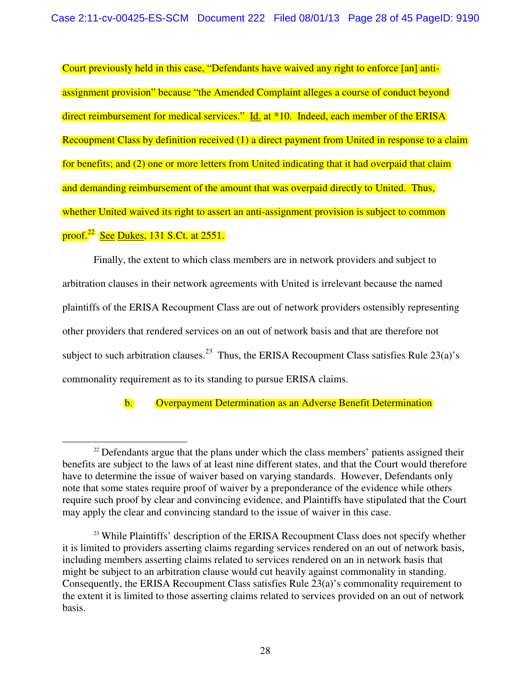Court previously held in this case, "Defendants have waived any right to enforce [an] antiassignment provision" because "the Amended Complaint alleges a course of conduct beyond direct reimbursement for medical services." Id. at \*10. Indeed, each member of the ERISA Recoupment Class by definition received (1) a direct payment from United in response to a claim for benefits; and (2) one or more letters from United indicating that it had overpaid that claim and demanding reimbursement of the amount that was overpaid directly to United. Thus, whether United waived its right to assert an anti-assignment provision is subject to common proof.<sup>22</sup> See Dukes, 131 S.Ct. at 2551.

Finally, the extent to which class members are in network providers and subject to arbitration clauses in their network agreements with United is irrelevant because the named plaintiffs of the ERISA Recoupment Class are out of network providers ostensibly representing other providers that rendered services on an out of network basis and that are therefore not subject to such arbitration clauses.<sup>23</sup> Thus, the ERISA Recoupment Class satisfies Rule  $23(a)$ 's commonality requirement as to its standing to pursue ERISA claims.

b. Overpayment Determination as an Adverse Benefit Determination

-

 $22$  Defendants argue that the plans under which the class members' patients assigned their benefits are subject to the laws of at least nine different states, and that the Court would therefore have to determine the issue of waiver based on varying standards. However, Defendants only note that some states require proof of waiver by a preponderance of the evidence while others require such proof by clear and convincing evidence, and Plaintiffs have stipulated that the Court may apply the clear and convincing standard to the issue of waiver in this case.

<sup>&</sup>lt;sup>23</sup> While Plaintiffs' description of the ERISA Recoupment Class does not specify whether it is limited to providers asserting claims regarding services rendered on an out of network basis, including members asserting claims related to services rendered on an in network basis that might be subject to an arbitration clause would cut heavily against commonality in standing. Consequently, the ERISA Recoupment Class satisfies Rule 23(a)'s commonality requirement to the extent it is limited to those asserting claims related to services provided on an out of network basis.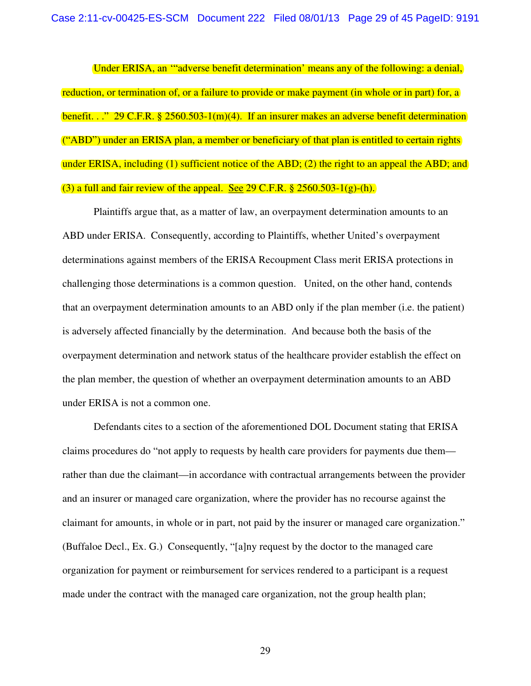Case 2:11-cv-00425-ES-SCM Document 222 Filed 08/01/13 Page 29 of 45 PageID: 9191

 Under ERISA, an '"adverse benefit determination' means any of the following: a denial, reduction, or termination of, or a failure to provide or make payment (in whole or in part) for, a benefit. . ." 29 C.F.R. § 2560.503-1(m)(4). If an insurer makes an adverse benefit determination ("ABD") under an ERISA plan, a member or beneficiary of that plan is entitled to certain rights under ERISA, including (1) sufficient notice of the ABD; (2) the right to an appeal the ABD; and (3) a full and fair review of the appeal. See 29 C.F.R.  $\S 2560.503-1(g)$ -(h).

 Plaintiffs argue that, as a matter of law, an overpayment determination amounts to an ABD under ERISA. Consequently, according to Plaintiffs, whether United's overpayment determinations against members of the ERISA Recoupment Class merit ERISA protections in challenging those determinations is a common question. United, on the other hand, contends that an overpayment determination amounts to an ABD only if the plan member (i.e. the patient) is adversely affected financially by the determination. And because both the basis of the overpayment determination and network status of the healthcare provider establish the effect on the plan member, the question of whether an overpayment determination amounts to an ABD under ERISA is not a common one.

 Defendants cites to a section of the aforementioned DOL Document stating that ERISA claims procedures do "not apply to requests by health care providers for payments due them rather than due the claimant—in accordance with contractual arrangements between the provider and an insurer or managed care organization, where the provider has no recourse against the claimant for amounts, in whole or in part, not paid by the insurer or managed care organization." (Buffaloe Decl., Ex. G.) Consequently, "[a]ny request by the doctor to the managed care organization for payment or reimbursement for services rendered to a participant is a request made under the contract with the managed care organization, not the group health plan;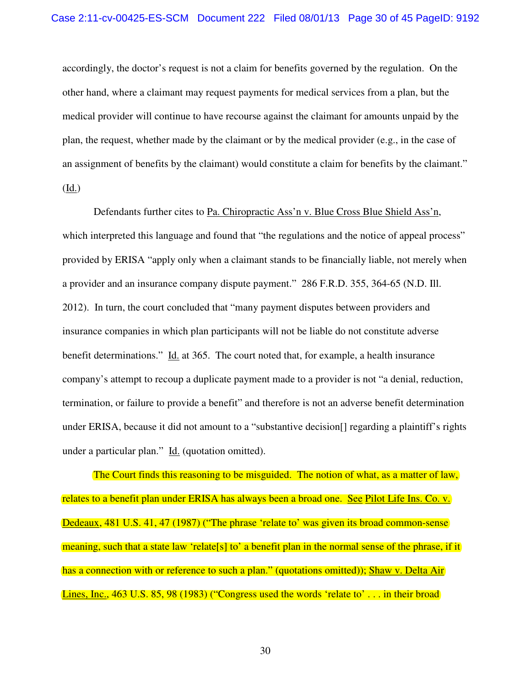accordingly, the doctor's request is not a claim for benefits governed by the regulation. On the other hand, where a claimant may request payments for medical services from a plan, but the medical provider will continue to have recourse against the claimant for amounts unpaid by the plan, the request, whether made by the claimant or by the medical provider (e.g., in the case of an assignment of benefits by the claimant) would constitute a claim for benefits by the claimant." (Id.)

 Defendants further cites to Pa. Chiropractic Ass'n v. Blue Cross Blue Shield Ass'n, which interpreted this language and found that "the regulations and the notice of appeal process" provided by ERISA "apply only when a claimant stands to be financially liable, not merely when a provider and an insurance company dispute payment." 286 F.R.D. 355, 364-65 (N.D. Ill. 2012). In turn, the court concluded that "many payment disputes between providers and insurance companies in which plan participants will not be liable do not constitute adverse benefit determinations." Id. at 365. The court noted that, for example, a health insurance company's attempt to recoup a duplicate payment made to a provider is not "a denial, reduction, termination, or failure to provide a benefit" and therefore is not an adverse benefit determination under ERISA, because it did not amount to a "substantive decision[] regarding a plaintiff's rights under a particular plan." Id. (quotation omitted).

 The Court finds this reasoning to be misguided. The notion of what, as a matter of law, relates to a benefit plan under ERISA has always been a broad one. See Pilot Life Ins. Co. v. Dedeaux, 481 U.S. 41, 47 (1987) ("The phrase 'relate to' was given its broad common-sense meaning, such that a state law 'relate[s] to' a benefit plan in the normal sense of the phrase, if it has a connection with or reference to such a plan." (quotations omitted)); Shaw v. Delta Air Lines, Inc., 463 U.S. 85, 98 (1983) ("Congress used the words 'relate to'... in their broad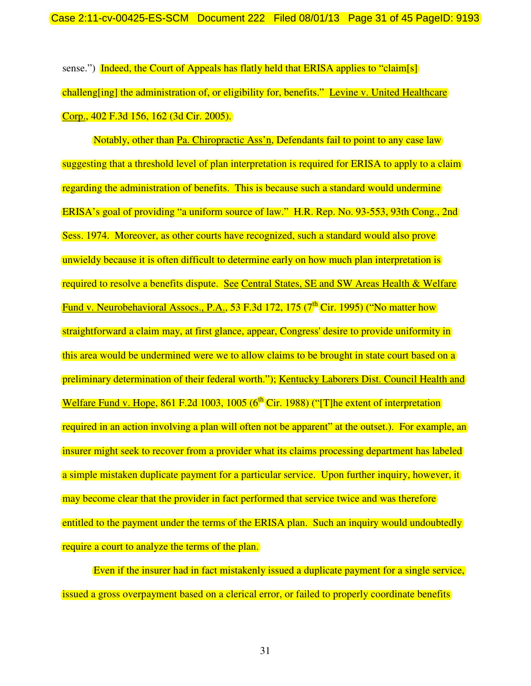sense.") Indeed, the Court of Appeals has flatly held that ERISA applies to "claim[s] challeng[ing] the administration of, or eligibility for, benefits." Levine v. United Healthcare Corp., 402 F.3d 156, 162 (3d Cir. 2005).

 Notably, other than Pa. Chiropractic Ass'n, Defendants fail to point to any case law suggesting that a threshold level of plan interpretation is required for ERISA to apply to a claim regarding the administration of benefits. This is because such a standard would undermine ERISA's goal of providing "a uniform source of law." H.R. Rep. No. 93-553, 93th Cong., 2nd Sess. 1974. Moreover, as other courts have recognized, such a standard would also prove unwieldy because it is often difficult to determine early on how much plan interpretation is required to resolve a benefits dispute. See Central States, SE and SW Areas Health & Welfare Fund v. Neurobehavioral Assocs., P.A., 53 F.3d 172, 175 (7<sup>th</sup> Cir. 1995) ("No matter how straightforward a claim may, at first glance, appear, Congress' desire to provide uniformity in this area would be undermined were we to allow claims to be brought in state court based on a preliminary determination of their federal worth."); Kentucky Laborers Dist. Council Health and Welfare Fund v. Hope, 861 F.2d 1003, 1005 ( $6<sup>th</sup>$  Cir. 1988) ("T] he extent of interpretation required in an action involving a plan will often not be apparent" at the outset.). For example, an insurer might seek to recover from a provider what its claims processing department has labeled a simple mistaken duplicate payment for a particular service. Upon further inquiry, however, it may become clear that the provider in fact performed that service twice and was therefore entitled to the payment under the terms of the ERISA plan. Such an inquiry would undoubtedly require a court to analyze the terms of the plan.

 Even if the insurer had in fact mistakenly issued a duplicate payment for a single service, issued a gross overpayment based on a clerical error, or failed to properly coordinate benefits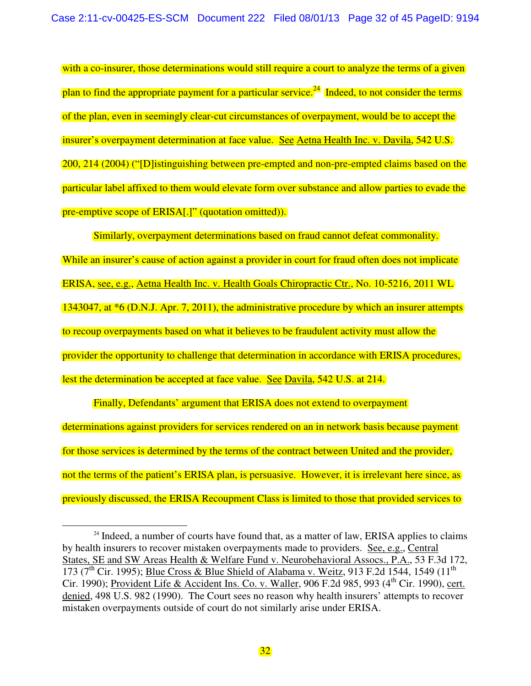with a co-insurer, those determinations would still require a court to analyze the terms of a given plan to find the appropriate payment for a particular service.<sup>24</sup> Indeed, to not consider the terms of the plan, even in seemingly clear-cut circumstances of overpayment, would be to accept the insurer's overpayment determination at face value. See Aetna Health Inc. v. Davila, 542 U.S. 200, 214 (2004) ("[D]istinguishing between pre-empted and non-pre-empted claims based on the particular label affixed to them would elevate form over substance and allow parties to evade the pre-emptive scope of ERISA[.]" (quotation omitted)).

 Similarly, overpayment determinations based on fraud cannot defeat commonality. While an insurer's cause of action against a provider in court for fraud often does not implicate ERISA, see, e.g., Aetna Health Inc. v. Health Goals Chiropractic Ctr., No. 10-5216, 2011 WL 1343047, at \*6 (D.N.J. Apr. 7, 2011), the administrative procedure by which an insurer attempts to recoup overpayments based on what it believes to be fraudulent activity must allow the provider the opportunity to challenge that determination in accordance with ERISA procedures, lest the determination be accepted at face value. See Davila, 542 U.S. at 214.

 Finally, Defendants' argument that ERISA does not extend to overpayment determinations against providers for services rendered on an in network basis because payment for those services is determined by the terms of the contract between United and the provider, not the terms of the patient's ERISA plan, is persuasive. However, it is irrelevant here since, as previously discussed, the ERISA Recoupment Class is limited to those that provided services to

-

 $24$  Indeed, a number of courts have found that, as a matter of law, ERISA applies to claims by health insurers to recover mistaken overpayments made to providers. See, e.g., Central States, SE and SW Areas Health & Welfare Fund v. Neurobehavioral Assocs., P.A., 53 F.3d 172, 173 ( $7<sup>th</sup>$  Cir. 1995); Blue Cross & Blue Shield of Alabama v. Weitz, 913 F.2d 1544, 1549 (11<sup>th</sup>) Cir. 1990); Provident Life & Accident Ins. Co. v. Waller,  $906$  F.2d 985, 993 (4<sup>th</sup> Cir. 1990), cert. denied, 498 U.S. 982 (1990). The Court sees no reason why health insurers' attempts to recover mistaken overpayments outside of court do not similarly arise under ERISA.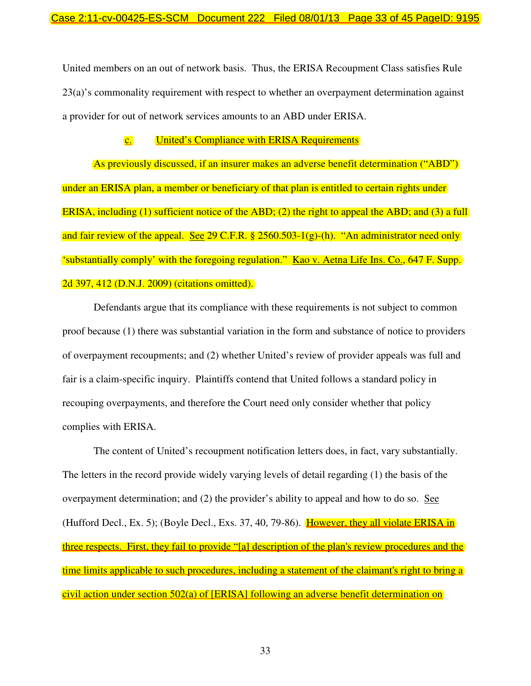United members on an out of network basis. Thus, the ERISA Recoupment Class satisfies Rule 23(a)'s commonality requirement with respect to whether an overpayment determination against a provider for out of network services amounts to an ABD under ERISA.

# c. United's Compliance with ERISA Requirements

 As previously discussed, if an insurer makes an adverse benefit determination ("ABD") under an ERISA plan, a member or beneficiary of that plan is entitled to certain rights under ERISA, including (1) sufficient notice of the ABD; (2) the right to appeal the ABD; and (3) a full and fair review of the appeal. See 29 C.F.R.  $\S 2560.503-1(g)-(h)$ . "An administrator need only 'substantially comply' with the foregoing regulation." Kao v. Aetna Life Ins. Co., 647 F. Supp. 2d 397, 412 (D.N.J. 2009) (citations omitted).

 Defendants argue that its compliance with these requirements is not subject to common proof because (1) there was substantial variation in the form and substance of notice to providers of overpayment recoupments; and (2) whether United's review of provider appeals was full and fair is a claim-specific inquiry. Plaintiffs contend that United follows a standard policy in recouping overpayments, and therefore the Court need only consider whether that policy complies with ERISA.

 The content of United's recoupment notification letters does, in fact, vary substantially. The letters in the record provide widely varying levels of detail regarding (1) the basis of the overpayment determination; and (2) the provider's ability to appeal and how to do so. See (Hufford Decl., Ex. 5); (Boyle Decl., Exs. 37, 40, 79-86). However, they all violate ERISA in three respects. First, they fail to provide "[a] description of the plan's review procedures and the time limits applicable to such procedures, including a statement of the claimant's right to bring a civil action under section 502(a) of [ERISA] following an adverse benefit determination on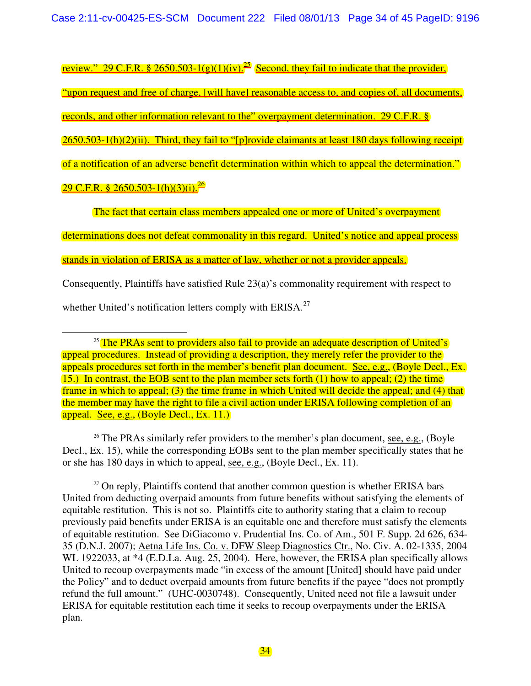review." 29 C.F.R. § 2650.503-1(g)(1)(iv).<sup>25</sup> Second, they fail to indicate that the provider. "upon request and free of charge, [will have] reasonable access to, and copies of, all documents, records, and other information relevant to the" overpayment determination. 29 C.F.R. §  $2650.503-1(h)(2)(ii)$ . Third, they fail to "[p]rovide claimants at least 180 days following receipt of a notification of an adverse benefit determination within which to appeal the determination." 29 C.F.R.  $\frac{2650.503 - 1(h)(3)(i)^{26}}{h}$ 

 The fact that certain class members appealed one or more of United's overpayment determinations does not defeat commonality in this regard. United's notice and appeal process stands in violation of ERISA as a matter of law, whether or not a provider appeals. Consequently, Plaintiffs have satisfied Rule 23(a)'s commonality requirement with respect to

whether United's notification letters comply with ERISA. $27$ 

-

<sup>26</sup> The PRAs similarly refer providers to the member's plan document, see, e.g., (Boyle Decl., Ex. 15), while the corresponding EOBs sent to the plan member specifically states that he or she has 180 days in which to appeal, see, e.g., (Boyle Decl., Ex. 11).

 $27$  On reply, Plaintiffs contend that another common question is whether ERISA bars United from deducting overpaid amounts from future benefits without satisfying the elements of equitable restitution. This is not so. Plaintiffs cite to authority stating that a claim to recoup previously paid benefits under ERISA is an equitable one and therefore must satisfy the elements of equitable restitution. See DiGiacomo v. Prudential Ins. Co. of Am., 501 F. Supp. 2d 626, 634- 35 (D.N.J. 2007); Aetna Life Ins. Co. v. DFW Sleep Diagnostics Ctr., No. Civ. A. 02-1335, 2004 WL 1922033, at  $*4$  (E.D.La. Aug. 25, 2004). Here, however, the ERISA plan specifically allows United to recoup overpayments made "in excess of the amount [United] should have paid under the Policy" and to deduct overpaid amounts from future benefits if the payee "does not promptly refund the full amount." (UHC-0030748). Consequently, United need not file a lawsuit under ERISA for equitable restitution each time it seeks to recoup overpayments under the ERISA plan.

 $25$  The PRAs sent to providers also fail to provide an adequate description of United's appeal procedures. Instead of providing a description, they merely refer the provider to the appeals procedures set forth in the member's benefit plan document. See, e.g., (Boyle Decl., Ex. 15.) In contrast, the EOB sent to the plan member sets forth (1) how to appeal; (2) the time frame in which to appeal; (3) the time frame in which United will decide the appeal; and (4) that the member may have the right to file a civil action under ERISA following completion of an appeal. See, e.g., (Boyle Decl., Ex. 11.)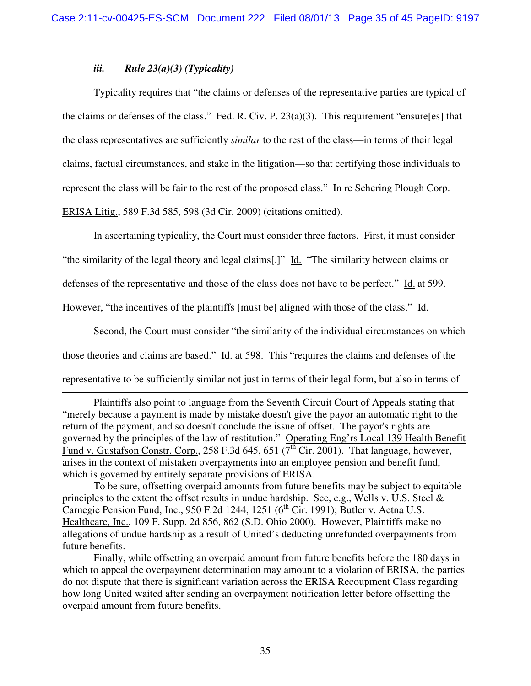# *iii. Rule 23(a)(3) (Typicality)*

-

Typicality requires that "the claims or defenses of the representative parties are typical of the claims or defenses of the class." Fed. R. Civ. P. 23(a)(3). This requirement "ensure[es] that the class representatives are sufficiently *similar* to the rest of the class—in terms of their legal claims, factual circumstances, and stake in the litigation—so that certifying those individuals to represent the class will be fair to the rest of the proposed class." In re Schering Plough Corp. ERISA Litig., 589 F.3d 585, 598 (3d Cir. 2009) (citations omitted).

In ascertaining typicality, the Court must consider three factors. First, it must consider "the similarity of the legal theory and legal claims[.]" Id. "The similarity between claims or defenses of the representative and those of the class does not have to be perfect." Id. at 599. However, "the incentives of the plaintiffs [must be] aligned with those of the class." Id.

Second, the Court must consider "the similarity of the individual circumstances on which those theories and claims are based." Id. at 598. This "requires the claims and defenses of the representative to be sufficiently similar not just in terms of their legal form, but also in terms of

Plaintiffs also point to language from the Seventh Circuit Court of Appeals stating that "merely because a payment is made by mistake doesn't give the payor an automatic right to the return of the payment, and so doesn't conclude the issue of offset. The payor's rights are governed by the principles of the law of restitution." Operating Eng'rs Local 139 Health Benefit Fund v. Gustafson Constr. Corp., 258 F.3d 645, 651 ( $7<sup>th</sup>$  Cir. 2001). That language, however, arises in the context of mistaken overpayments into an employee pension and benefit fund, which is governed by entirely separate provisions of ERISA.

To be sure, offsetting overpaid amounts from future benefits may be subject to equitable principles to the extent the offset results in undue hardship. See, e.g., Wells v. U.S. Steel & Carnegie Pension Fund, Inc., 950 F.2d 1244, 1251 ( $6<sup>th</sup>$  Cir. 1991); Butler v. Aetna U.S. Healthcare, Inc., 109 F. Supp. 2d 856, 862 (S.D. Ohio 2000). However, Plaintiffs make no allegations of undue hardship as a result of United's deducting unrefunded overpayments from future benefits.

Finally, while offsetting an overpaid amount from future benefits before the 180 days in which to appeal the overpayment determination may amount to a violation of ERISA, the parties do not dispute that there is significant variation across the ERISA Recoupment Class regarding how long United waited after sending an overpayment notification letter before offsetting the overpaid amount from future benefits.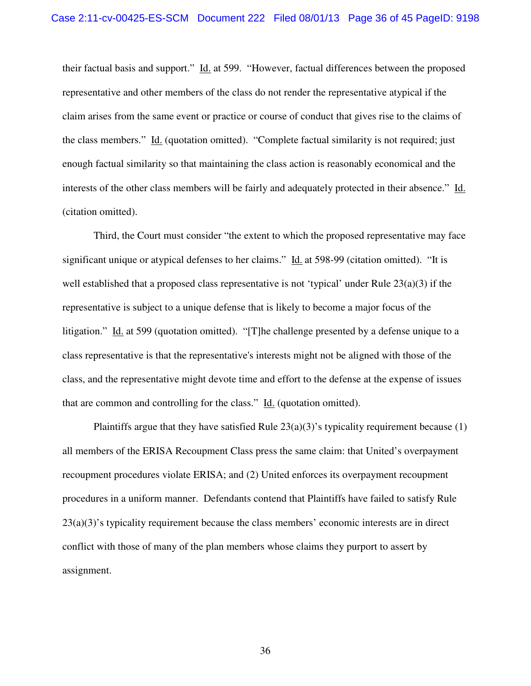their factual basis and support." Id. at 599. "However, factual differences between the proposed representative and other members of the class do not render the representative atypical if the claim arises from the same event or practice or course of conduct that gives rise to the claims of the class members." Id. (quotation omitted). "Complete factual similarity is not required; just enough factual similarity so that maintaining the class action is reasonably economical and the interests of the other class members will be fairly and adequately protected in their absence." Id. (citation omitted).

Third, the Court must consider "the extent to which the proposed representative may face significant unique or atypical defenses to her claims." Id. at 598-99 (citation omitted). "It is well established that a proposed class representative is not 'typical' under Rule  $23(a)(3)$  if the representative is subject to a unique defense that is likely to become a major focus of the litigation." Id. at 599 (quotation omitted). "[T]he challenge presented by a defense unique to a class representative is that the representative's interests might not be aligned with those of the class, and the representative might devote time and effort to the defense at the expense of issues that are common and controlling for the class." Id. (quotation omitted).

Plaintiffs argue that they have satisfied Rule  $23(a)(3)$ 's typicality requirement because (1) all members of the ERISA Recoupment Class press the same claim: that United's overpayment recoupment procedures violate ERISA; and (2) United enforces its overpayment recoupment procedures in a uniform manner. Defendants contend that Plaintiffs have failed to satisfy Rule  $23(a)(3)$ 's typicality requirement because the class members' economic interests are in direct conflict with those of many of the plan members whose claims they purport to assert by assignment.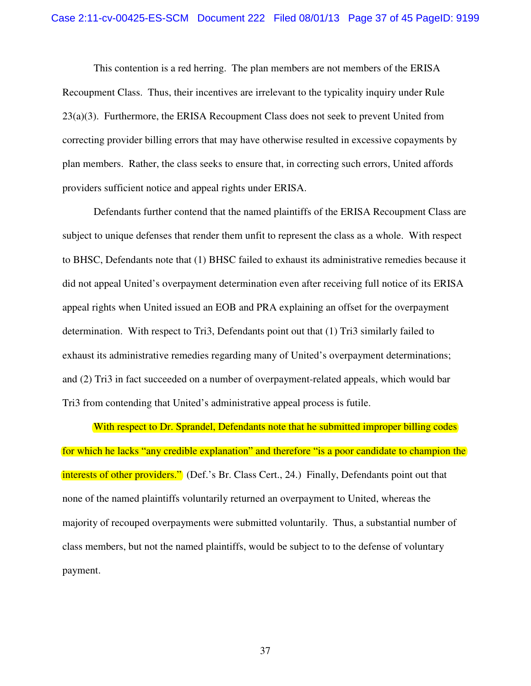This contention is a red herring. The plan members are not members of the ERISA Recoupment Class. Thus, their incentives are irrelevant to the typicality inquiry under Rule 23(a)(3). Furthermore, the ERISA Recoupment Class does not seek to prevent United from correcting provider billing errors that may have otherwise resulted in excessive copayments by plan members. Rather, the class seeks to ensure that, in correcting such errors, United affords providers sufficient notice and appeal rights under ERISA.

Defendants further contend that the named plaintiffs of the ERISA Recoupment Class are subject to unique defenses that render them unfit to represent the class as a whole. With respect to BHSC, Defendants note that (1) BHSC failed to exhaust its administrative remedies because it did not appeal United's overpayment determination even after receiving full notice of its ERISA appeal rights when United issued an EOB and PRA explaining an offset for the overpayment determination. With respect to Tri3, Defendants point out that (1) Tri3 similarly failed to exhaust its administrative remedies regarding many of United's overpayment determinations; and (2) Tri3 in fact succeeded on a number of overpayment-related appeals, which would bar Tri3 from contending that United's administrative appeal process is futile.

With respect to Dr. Sprandel, Defendants note that he submitted improper billing codes for which he lacks "any credible explanation" and therefore "is a poor candidate to champion the interests of other providers." (Def.'s Br. Class Cert., 24.) Finally, Defendants point out that none of the named plaintiffs voluntarily returned an overpayment to United, whereas the majority of recouped overpayments were submitted voluntarily. Thus, a substantial number of class members, but not the named plaintiffs, would be subject to to the defense of voluntary payment.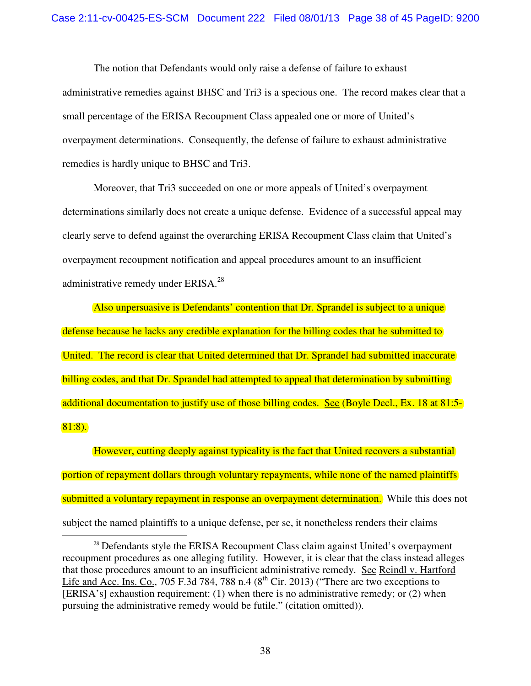The notion that Defendants would only raise a defense of failure to exhaust administrative remedies against BHSC and Tri3 is a specious one. The record makes clear that a small percentage of the ERISA Recoupment Class appealed one or more of United's overpayment determinations. Consequently, the defense of failure to exhaust administrative remedies is hardly unique to BHSC and Tri3.

Moreover, that Tri3 succeeded on one or more appeals of United's overpayment determinations similarly does not create a unique defense. Evidence of a successful appeal may clearly serve to defend against the overarching ERISA Recoupment Class claim that United's overpayment recoupment notification and appeal procedures amount to an insufficient administrative remedy under  $ERISA.<sup>28</sup>$ 

Also unpersuasive is Defendants' contention that Dr. Sprandel is subject to a unique defense because he lacks any credible explanation for the billing codes that he submitted to United. The record is clear that United determined that Dr. Sprandel had submitted inaccurate billing codes, and that Dr. Sprandel had attempted to appeal that determination by submitting additional documentation to justify use of those billing codes. See (Boyle Decl., Ex. 18 at 81:5-81:8).

However, cutting deeply against typicality is the fact that United recovers a substantial portion of repayment dollars through voluntary repayments, while none of the named plaintiffs submitted a voluntary repayment in response an overpayment determination. While this does not subject the named plaintiffs to a unique defense, per se, it nonetheless renders their claims

l

 $28$  Defendants style the ERISA Recoupment Class claim against United's overpayment recoupment procedures as one alleging futility. However, it is clear that the class instead alleges that those procedures amount to an insufficient administrative remedy. See Reindl v. Hartford Life and Acc. Ins. Co., 705 F.3d 784, 788 n.4 ( $8<sup>th</sup>$  Cir. 2013) ("There are two exceptions to [ERISA's] exhaustion requirement: (1) when there is no administrative remedy; or (2) when pursuing the administrative remedy would be futile." (citation omitted)).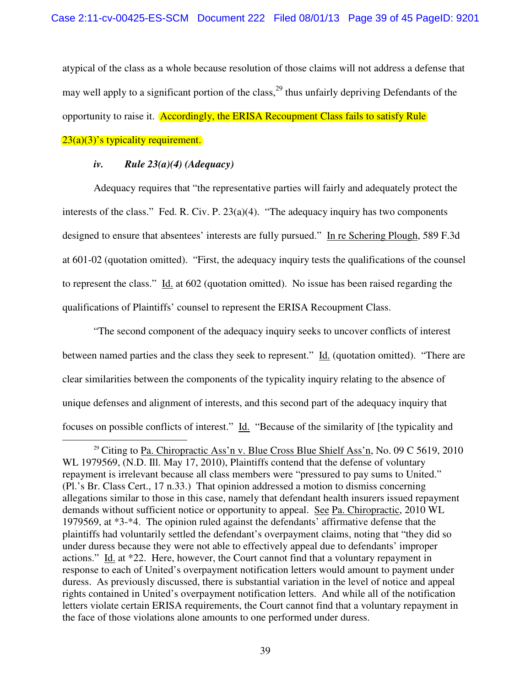atypical of the class as a whole because resolution of those claims will not address a defense that may well apply to a significant portion of the class,<sup>29</sup> thus unfairly depriving Defendants of the opportunity to raise it. Accordingly, the ERISA Recoupment Class fails to satisfy Rule

# 23(a)(3)'s typicality requirement.

-

# *iv. Rule 23(a)(4) (Adequacy)*

Adequacy requires that "the representative parties will fairly and adequately protect the interests of the class." Fed. R. Civ. P. 23(a)(4). "The adequacy inquiry has two components designed to ensure that absentees' interests are fully pursued." In re Schering Plough, 589 F.3d at 601-02 (quotation omitted). "First, the adequacy inquiry tests the qualifications of the counsel to represent the class." Id. at 602 (quotation omitted). No issue has been raised regarding the qualifications of Plaintiffs' counsel to represent the ERISA Recoupment Class.

"The second component of the adequacy inquiry seeks to uncover conflicts of interest between named parties and the class they seek to represent." Id. (quotation omitted). "There are clear similarities between the components of the typicality inquiry relating to the absence of unique defenses and alignment of interests, and this second part of the adequacy inquiry that focuses on possible conflicts of interest." Id. "Because of the similarity of [the typicality and

<sup>&</sup>lt;sup>29</sup> Citing to Pa. Chiropractic Ass'n v. Blue Cross Blue Shielf Ass'n, No. 09 C 5619, 2010 WL 1979569, (N.D. Ill. May 17, 2010), Plaintiffs contend that the defense of voluntary repayment is irrelevant because all class members were "pressured to pay sums to United." (Pl.'s Br. Class Cert., 17 n.33.) That opinion addressed a motion to dismiss concerning allegations similar to those in this case, namely that defendant health insurers issued repayment demands without sufficient notice or opportunity to appeal. See Pa. Chiropractic, 2010 WL 1979569, at \*3-\*4. The opinion ruled against the defendants' affirmative defense that the plaintiffs had voluntarily settled the defendant's overpayment claims, noting that "they did so under duress because they were not able to effectively appeal due to defendants' improper actions." Id. at \*22. Here, however, the Court cannot find that a voluntary repayment in response to each of United's overpayment notification letters would amount to payment under duress. As previously discussed, there is substantial variation in the level of notice and appeal rights contained in United's overpayment notification letters. And while all of the notification letters violate certain ERISA requirements, the Court cannot find that a voluntary repayment in the face of those violations alone amounts to one performed under duress.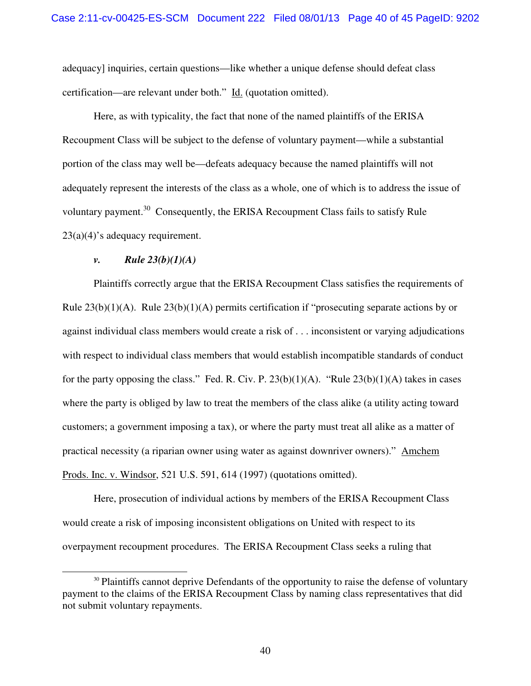adequacy] inquiries, certain questions—like whether a unique defense should defeat class certification—are relevant under both." Id. (quotation omitted).

Here, as with typicality, the fact that none of the named plaintiffs of the ERISA Recoupment Class will be subject to the defense of voluntary payment—while a substantial portion of the class may well be—defeats adequacy because the named plaintiffs will not adequately represent the interests of the class as a whole, one of which is to address the issue of voluntary payment.<sup>30</sup> Consequently, the ERISA Recoupment Class fails to satisfy Rule 23(a)(4)'s adequacy requirement.

# *v. Rule 23(b)(1)(A)*

-

Plaintiffs correctly argue that the ERISA Recoupment Class satisfies the requirements of Rule 23(b)(1)(A). Rule 23(b)(1)(A) permits certification if "prosecuting separate actions by or against individual class members would create a risk of . . . inconsistent or varying adjudications with respect to individual class members that would establish incompatible standards of conduct for the party opposing the class." Fed. R. Civ. P.  $23(b)(1)(A)$ . "Rule  $23(b)(1)(A)$  takes in cases where the party is obliged by law to treat the members of the class alike (a utility acting toward customers; a government imposing a tax), or where the party must treat all alike as a matter of practical necessity (a riparian owner using water as against downriver owners)." Amchem Prods. Inc. v. Windsor, 521 U.S. 591, 614 (1997) (quotations omitted).

Here, prosecution of individual actions by members of the ERISA Recoupment Class would create a risk of imposing inconsistent obligations on United with respect to its overpayment recoupment procedures. The ERISA Recoupment Class seeks a ruling that

<sup>&</sup>lt;sup>30</sup> Plaintiffs cannot deprive Defendants of the opportunity to raise the defense of voluntary payment to the claims of the ERISA Recoupment Class by naming class representatives that did not submit voluntary repayments.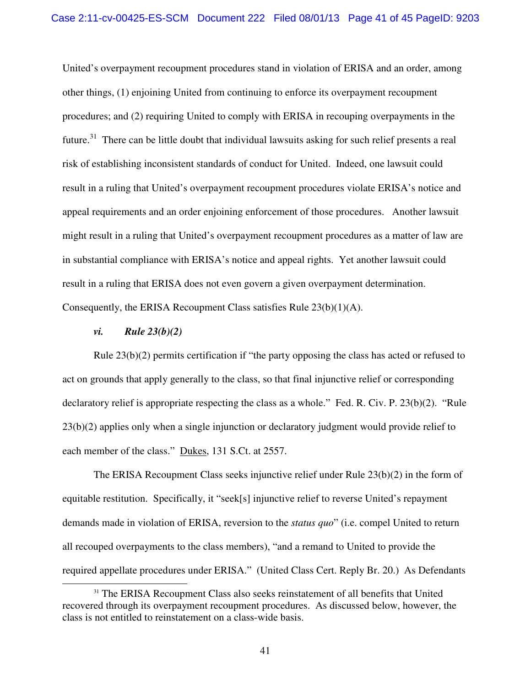United's overpayment recoupment procedures stand in violation of ERISA and an order, among other things, (1) enjoining United from continuing to enforce its overpayment recoupment procedures; and (2) requiring United to comply with ERISA in recouping overpayments in the future.<sup>31</sup> There can be little doubt that individual lawsuits asking for such relief presents a real risk of establishing inconsistent standards of conduct for United. Indeed, one lawsuit could result in a ruling that United's overpayment recoupment procedures violate ERISA's notice and appeal requirements and an order enjoining enforcement of those procedures. Another lawsuit might result in a ruling that United's overpayment recoupment procedures as a matter of law are in substantial compliance with ERISA's notice and appeal rights. Yet another lawsuit could result in a ruling that ERISA does not even govern a given overpayment determination. Consequently, the ERISA Recoupment Class satisfies Rule 23(b)(1)(A).

### *vi. Rule 23(b)(2)*

l

Rule 23(b)(2) permits certification if "the party opposing the class has acted or refused to act on grounds that apply generally to the class, so that final injunctive relief or corresponding declaratory relief is appropriate respecting the class as a whole." Fed. R. Civ. P. 23(b)(2). "Rule 23(b)(2) applies only when a single injunction or declaratory judgment would provide relief to each member of the class." Dukes, 131 S.Ct. at 2557.

The ERISA Recoupment Class seeks injunctive relief under Rule 23(b)(2) in the form of equitable restitution. Specifically, it "seek[s] injunctive relief to reverse United's repayment demands made in violation of ERISA, reversion to the *status quo*" (i.e. compel United to return all recouped overpayments to the class members), "and a remand to United to provide the required appellate procedures under ERISA." (United Class Cert. Reply Br. 20.) As Defendants

<sup>&</sup>lt;sup>31</sup> The ERISA Recoupment Class also seeks reinstatement of all benefits that United recovered through its overpayment recoupment procedures. As discussed below, however, the class is not entitled to reinstatement on a class-wide basis.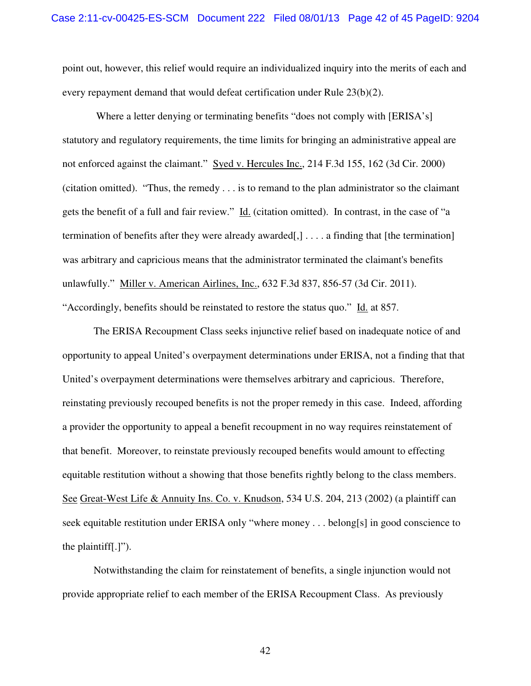point out, however, this relief would require an individualized inquiry into the merits of each and every repayment demand that would defeat certification under Rule 23(b)(2).

 Where a letter denying or terminating benefits "does not comply with [ERISA's] statutory and regulatory requirements, the time limits for bringing an administrative appeal are not enforced against the claimant." Syed v. Hercules Inc., 214 F.3d 155, 162 (3d Cir. 2000) (citation omitted). "Thus, the remedy . . . is to remand to the plan administrator so the claimant gets the benefit of a full and fair review." Id. (citation omitted). In contrast, in the case of "a termination of benefits after they were already awarded[,] . . . . a finding that [the termination] was arbitrary and capricious means that the administrator terminated the claimant's benefits unlawfully." Miller v. American Airlines, Inc., 632 F.3d 837, 856-57 (3d Cir. 2011). "Accordingly, benefits should be reinstated to restore the status quo." Id. at 857.

The ERISA Recoupment Class seeks injunctive relief based on inadequate notice of and opportunity to appeal United's overpayment determinations under ERISA, not a finding that that United's overpayment determinations were themselves arbitrary and capricious. Therefore, reinstating previously recouped benefits is not the proper remedy in this case. Indeed, affording a provider the opportunity to appeal a benefit recoupment in no way requires reinstatement of that benefit. Moreover, to reinstate previously recouped benefits would amount to effecting equitable restitution without a showing that those benefits rightly belong to the class members. See Great-West Life & Annuity Ins. Co. v. Knudson, 534 U.S. 204, 213 (2002) (a plaintiff can seek equitable restitution under ERISA only "where money . . . belong[s] in good conscience to the plaintiff[.]").

Notwithstanding the claim for reinstatement of benefits, a single injunction would not provide appropriate relief to each member of the ERISA Recoupment Class. As previously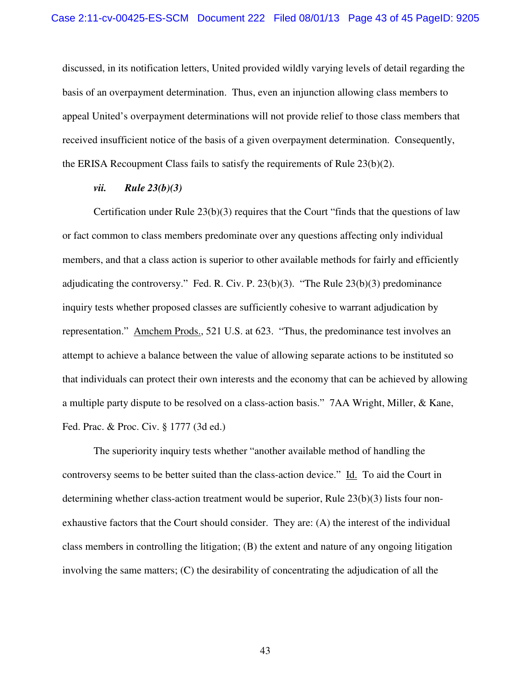discussed, in its notification letters, United provided wildly varying levels of detail regarding the basis of an overpayment determination. Thus, even an injunction allowing class members to appeal United's overpayment determinations will not provide relief to those class members that received insufficient notice of the basis of a given overpayment determination. Consequently, the ERISA Recoupment Class fails to satisfy the requirements of Rule 23(b)(2).

### *vii. Rule 23(b)(3)*

Certification under Rule 23(b)(3) requires that the Court "finds that the questions of law or fact common to class members predominate over any questions affecting only individual members, and that a class action is superior to other available methods for fairly and efficiently adjudicating the controversy." Fed. R. Civ. P. 23(b)(3). "The Rule 23(b)(3) predominance inquiry tests whether proposed classes are sufficiently cohesive to warrant adjudication by representation." Amchem Prods., 521 U.S. at 623. "Thus, the predominance test involves an attempt to achieve a balance between the value of allowing separate actions to be instituted so that individuals can protect their own interests and the economy that can be achieved by allowing a multiple party dispute to be resolved on a class-action basis." 7AA Wright, Miller, & Kane, Fed. Prac. & Proc. Civ. § 1777 (3d ed.)

The superiority inquiry tests whether "another available method of handling the controversy seems to be better suited than the class-action device." Id. To aid the Court in determining whether class-action treatment would be superior, Rule 23(b)(3) lists four nonexhaustive factors that the Court should consider. They are: (A) the interest of the individual class members in controlling the litigation; (B) the extent and nature of any ongoing litigation involving the same matters; (C) the desirability of concentrating the adjudication of all the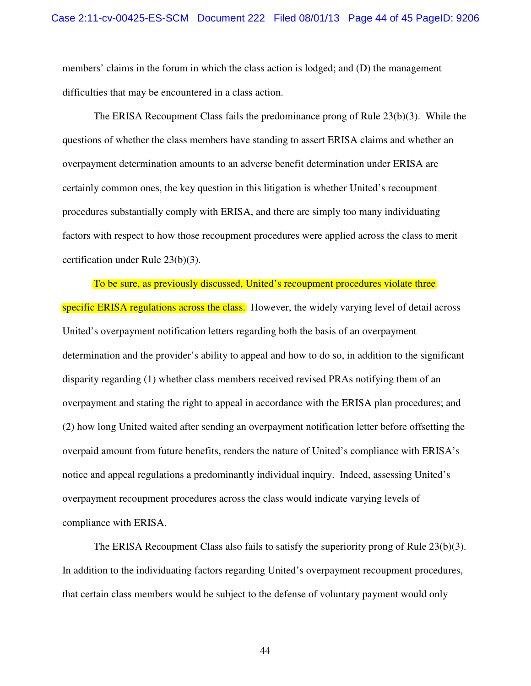members' claims in the forum in which the class action is lodged; and (D) the management difficulties that may be encountered in a class action.

The ERISA Recoupment Class fails the predominance prong of Rule 23(b)(3). While the questions of whether the class members have standing to assert ERISA claims and whether an overpayment determination amounts to an adverse benefit determination under ERISA are certainly common ones, the key question in this litigation is whether United's recoupment procedures substantially comply with ERISA, and there are simply too many individuating factors with respect to how those recoupment procedures were applied across the class to merit certification under Rule 23(b)(3).

To be sure, as previously discussed, United's recoupment procedures violate three specific ERISA regulations across the class. However, the widely varying level of detail across United's overpayment notification letters regarding both the basis of an overpayment determination and the provider's ability to appeal and how to do so, in addition to the significant disparity regarding (1) whether class members received revised PRAs notifying them of an overpayment and stating the right to appeal in accordance with the ERISA plan procedures; and (2) how long United waited after sending an overpayment notification letter before offsetting the overpaid amount from future benefits, renders the nature of United's compliance with ERISA's notice and appeal regulations a predominantly individual inquiry. Indeed, assessing United's overpayment recoupment procedures across the class would indicate varying levels of compliance with ERISA.

The ERISA Recoupment Class also fails to satisfy the superiority prong of Rule 23(b)(3). In addition to the individuating factors regarding United's overpayment recoupment procedures, that certain class members would be subject to the defense of voluntary payment would only